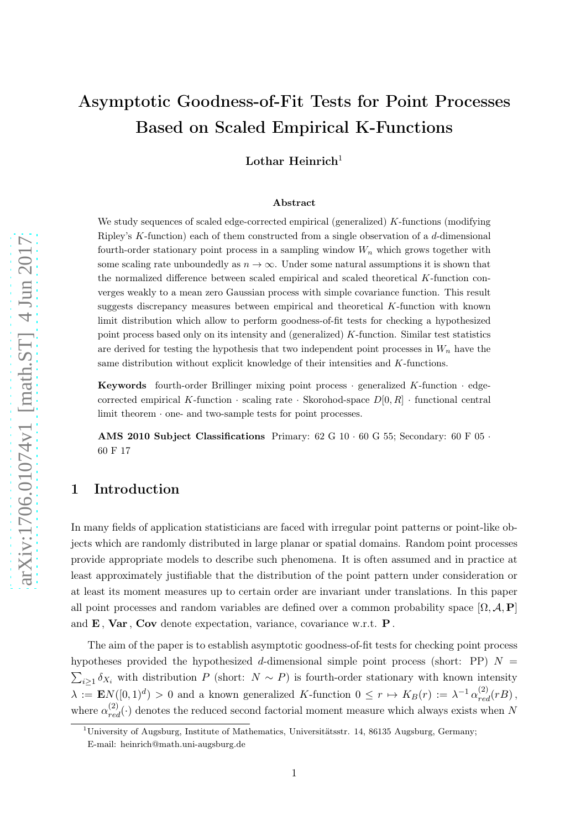# Asymptotic Goodness-of-Fit Tests for Point Processes Based on Scaled Empirical K-Functions

Lothar Heinrich<sup>1</sup>

#### Abstract

We study sequences of scaled edge-corrected empirical (generalized)  $K$ -functions (modifying Ripley's K-function) each of them constructed from a single observation of a d-dimensional fourth-order stationary point process in a sampling window  $W_n$  which grows together with some scaling rate unboundedly as  $n \to \infty$ . Under some natural assumptions it is shown that the normalized difference between scaled empirical and scaled theoretical K-function converges weakly to a mean zero Gaussian process with simple covariance function. This result suggests discrepancy measures between empirical and theoretical K-function with known limit distribution which allow to perform goodness-of-fit tests for checking a hypothesized point process based only on its intensity and (generalized) K-function. Similar test statistics are derived for testing the hypothesis that two independent point processes in  $W_n$  have the same distribution without explicit knowledge of their intensities and K-functions.

Keywords fourth-order Brillinger mixing point process  $\cdot$  generalized K-function  $\cdot$  edgecorrected empirical K-function  $\cdot$  scaling rate  $\cdot$  Skorohod-space  $D[0, R] \cdot$  functional central limit theorem · one- and two-sample tests for point processes.

AMS 2010 Subject Classifications Primary:  $62 \text{ G } 10 \cdot 60 \text{ G } 55$ ; Secondary:  $60 \text{ F } 05 \cdot$ 60 F 17

## 1 Introduction

In many fields of application statisticians are faced with irregular point patterns or point-like objects which are randomly distributed in large planar or spatial domains. Random point processes provide appropriate models to describe such phenomena. It is often assumed and in practice at least approximately justifiable that the distribution of the point pattern under consideration or at least its moment measures up to certain order are invariant under translations. In this paper all point processes and random variables are defined over a common probability space  $[\Omega, \mathcal{A}, P]$ and  $E$ ,  $Var$ ,  $Cov$  denote expectation, variance, covariance w.r.t.  $P$ .

The aim of the paper is to establish asymptotic goodness-of-fit tests for checking point process hypotheses provided the hypothesized d-dimensional simple point process (short: PP)  $N =$  $\sum_{i\geq 1} \delta_{X_i}$  with distribution P (short:  $N \sim P$ ) is fourth-order stationary with known intensity  $\lambda := \mathbf{E} N([0,1]^d) > 0$  and a known generalized K-function  $0 \leq r \mapsto K_B(r) := \lambda^{-1} \alpha_{red}^{(2)}(rB)$ , where  $\alpha_{red}^{(2)}(\cdot)$  denotes the reduced second factorial moment measure which always exists when N

 $1$ University of Augsburg, Institute of Mathematics, Universitätsstr. 14, 86135 Augsburg, Germany;

E-mail: heinrich@math.uni-augsburg.de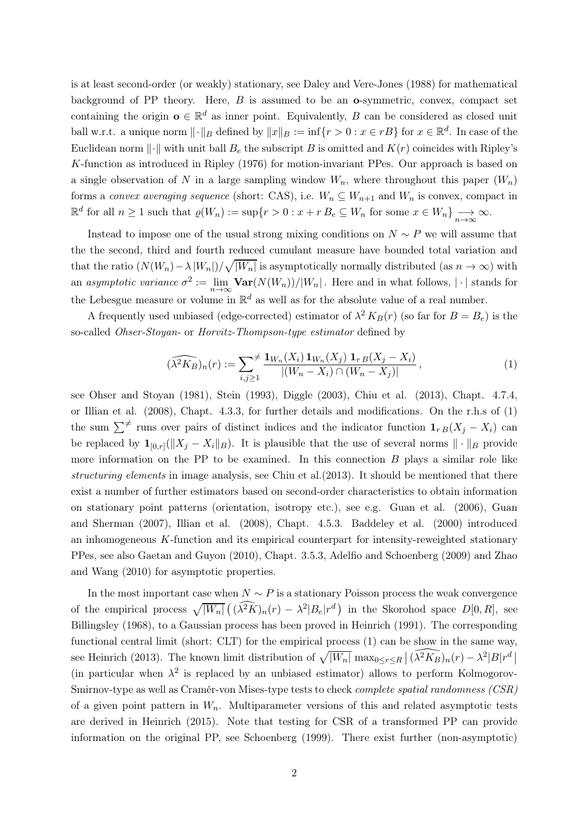is at least second-order (or weakly) stationary, see Daley and Vere-Jones (1988) for mathematical background of PP theory. Here,  $B$  is assumed to be an  $\alpha$ -symmetric, convex, compact set containing the origin  $\mathbf{o} \in \mathbb{R}^d$  as inner point. Equivalently, B can be considered as closed unit ball w.r.t. a unique norm  $\|\cdot\|_B$  defined by  $\|x\|_B := \inf\{r > 0 : x \in rB\}$  for  $x \in \mathbb{R}^d$ . In case of the Euclidean norm  $\lVert \cdot \rVert$  with unit ball  $B_e$  the subscript B is omitted and  $K(r)$  coincides with Ripley's K-function as introduced in Ripley (1976) for motion-invariant PPes. Our approach is based on a single observation of N in a large sampling window  $W_n$ , where throughout this paper  $(W_n)$ forms a convex averaging sequence (short: CAS), i.e.  $W_n \subseteq W_{n+1}$  and  $W_n$  is convex, compact in  $\mathbb{R}^d$  for all  $n \geq 1$  such that  $\varrho(W_n) := \sup\{r > 0 : x + r B_e \subseteq W_n \text{ for some } x \in W_n\} \longrightarrow_{n \to \infty} \infty.$ 

Instead to impose one of the usual strong mixing conditions on  $N \sim P$  we will assume that the the second, third and fourth reduced cumulant measure have bounded total variation and that the ratio  $(N(W_n) - \lambda |W_n|)/\sqrt{|W_n|}$  is asymptotically normally distributed (as  $n \to \infty$ ) with an asymptotic variance  $\sigma^2 := \lim_{n \to \infty} \mathbf{Var}(N(W_n)) / |W_n|$ . Here and in what follows,  $|\cdot|$  stands for the Lebesgue measure or volume in  $\mathbb{R}^d$  as well as for the absolute value of a real number.

A frequently used unbiased (edge-corrected) estimator of  $\lambda^2 K_B(r)$  (so far for  $B = B_e$ ) is the so-called Ohser-Stoyan- or Horvitz-Thompson-type estimator defined by

$$
(\widehat{\lambda^2 K_B})_n(r) := \sum_{i,j \ge 1}^{\neq} \frac{\mathbf{1}_{W_n}(X_i) \mathbf{1}_{W_n}(X_j) \mathbf{1}_{r, B}(X_j - X_i)}{|(W_n - X_i) \cap (W_n - X_j)|},\tag{1}
$$

see Ohser and Stoyan (1981), Stein (1993), Diggle (2003), Chiu et al. (2013), Chapt. 4.7.4, or Illian et al. (2008), Chapt. 4.3.3, for further details and modifications. On the r.h.s of (1) the sum  $\sum^{\neq}$  runs over pairs of distinct indices and the indicator function  $\mathbf{1}_{r,B}(X_j - X_i)$  can be replaced by  $\mathbf{1}_{[0,r]}(\|X_j - X_i\|_B)$ . It is plausible that the use of several norms  $\|\cdot\|_B$  provide more information on the PP to be examined. In this connection  $B$  plays a similar role like structuring elements in image analysis, see Chiu et al.(2013). It should be mentioned that there exist a number of further estimators based on second-order characteristics to obtain information on stationary point patterns (orientation, isotropy etc.), see e.g. Guan et al. (2006), Guan and Sherman (2007), Illian et al. (2008), Chapt. 4.5.3. Baddeley et al. (2000) introduced an inhomogeneous  $K$ -function and its empirical counterpart for intensity-reweighted stationary PPes, see also Gaetan and Guyon (2010), Chapt. 3.5.3, Adelfio and Schoenberg (2009) and Zhao and Wang (2010) for asymptotic properties.

In the most important case when  $N \sim P$  is a stationary Poisson process the weak convergence of the empirical process  $\sqrt{|W_n|}((\widehat{\lambda^2K})_n(r) - \lambda^2|B_e|r^d)$  in the Skorohod space  $D[0,R]$ , see Billingsley (1968), to a Gaussian process has been proved in Heinrich (1991). The corresponding functional central limit (short: CLT) for the empirical process (1) can be show in the same way, see Heinrich (2013). The known limit distribution of  $\sqrt{|W_n|} \max_{0 \le r \le R} |(\widehat{\lambda^2 K_B})_n(r) - \lambda^2 |B| r^d$ (in particular when  $\lambda^2$  is replaced by an unbiased estimator) allows to perform Kolmogorov-Smirnov-type as well as Cramér-von Mises-type tests to check complete spatial randomness (CSR) of a given point pattern in  $W_n$ . Multiparameter versions of this and related asymptotic tests are derived in Heinrich (2015). Note that testing for CSR of a transformed PP can provide information on the original PP, see Schoenberg (1999). There exist further (non-asymptotic)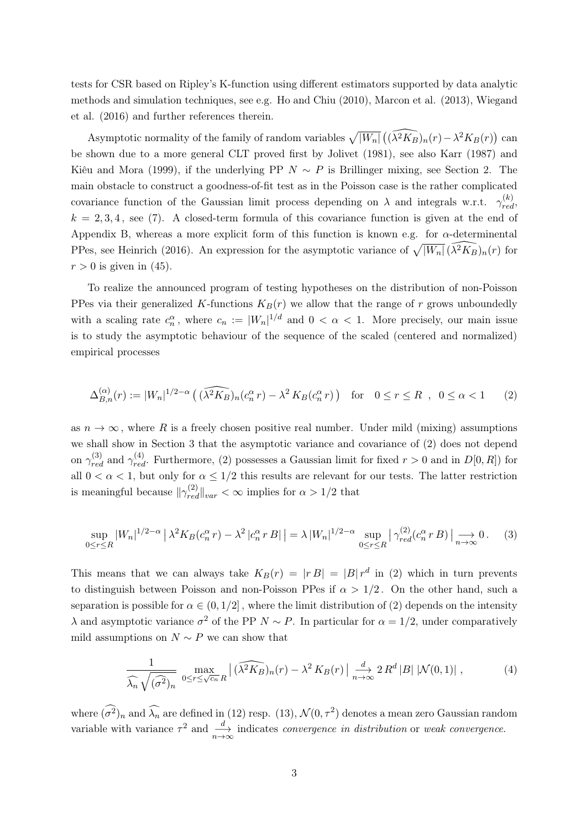tests for CSR based on Ripley's K-function using different estimators supported by data analytic methods and simulation techniques, see e.g. Ho and Chiu (2010), Marcon et al. (2013), Wiegand et al. (2016) and further references therein.

Asymptotic normality of the family of random variables  $\sqrt{|W_n|} \left( \widehat{(\lambda^2 K_B)}_{n}(r) - \lambda^2 K_B(r) \right)$  can be shown due to a more general CLT proved first by Jolivet (1981), see also Karr (1987) and Kiêu and Mora (1999), if the underlying PP  $N \sim P$  is Brillinger mixing, see Section 2. The main obstacle to construct a goodness-of-fit test as in the Poisson case is the rather complicated covariance function of the Gaussian limit process depending on  $\lambda$  and integrals w.r.t.  $\gamma_{red}^{(k)}$ ,  $k = 2, 3, 4$ , see (7). A closed-term formula of this covariance function is given at the end of Appendix B, whereas a more explicit form of this function is known e.g. for  $\alpha$ -determinental PPes, see Heinrich (2016). An expression for the asymptotic variance of  $\sqrt{|W_n|}(\widehat{\lambda^2 K_B})_n(r)$  for  $r > 0$  is given in (45).

To realize the announced program of testing hypotheses on the distribution of non-Poisson PPes via their generalized K-functions  $K_B(r)$  we allow that the range of r grows unboundedly with a scaling rate  $c_n^{\alpha}$ , where  $c_n := |W_n|^{1/d}$  and  $0 < \alpha < 1$ . More precisely, our main issue is to study the asymptotic behaviour of the sequence of the scaled (centered and normalized) empirical processes

$$
\Delta_{B,n}^{(\alpha)}(r) := |W_n|^{1/2-\alpha} \left( (\widehat{\lambda^2 K_B})_n (c_n^{\alpha} r) - \lambda^2 K_B(c_n^{\alpha} r) \right) \quad \text{for} \quad 0 \le r \le R \quad , \quad 0 \le \alpha < 1 \tag{2}
$$

as  $n \to \infty$ , where R is a freely chosen positive real number. Under mild (mixing) assumptions we shall show in Section 3 that the asymptotic variance and covariance of (2) does not depend on  $\gamma_{red}^{(3)}$  and  $\gamma_{red}^{(4)}$ . Furthermore, (2) possesses a Gaussian limit for fixed  $r > 0$  and in  $D[0, R]$ ) for all  $0 < \alpha < 1$ , but only for  $\alpha \leq 1/2$  this results are relevant for our tests. The latter restriction is meaningful because  $\|\gamma_{red}^{(2)}\|_{var} < \infty$  implies for  $\alpha > 1/2$  that

$$
\sup_{0 \le r \le R} |W_n|^{1/2 - \alpha} \left| \lambda^2 K_B(c_n^{\alpha} r) - \lambda^2 |c_n^{\alpha} r B| \right| = \lambda |W_n|^{1/2 - \alpha} \sup_{0 \le r \le R} \left| \gamma_{red}^{(2)}(c_n^{\alpha} r B) \right| \underset{n \to \infty}{\longrightarrow} 0. \tag{3}
$$

This means that we can always take  $K_B(r) = |r|F| = |B|r^d$  in (2) which in turn prevents to distinguish between Poisson and non-Poisson PPes if  $\alpha > 1/2$ . On the other hand, such a separation is possible for  $\alpha \in (0, 1/2]$ , where the limit distribution of (2) depends on the intensity  $\lambda$  and asymptotic variance  $\sigma^2$  of the PP  $N \sim P$ . In particular for  $\alpha = 1/2$ , under comparatively mild assumptions on  $N \sim P$  we can show that

$$
\frac{1}{\widehat{\lambda_n}\sqrt{(\widehat{\sigma^2})_n}} \max_{0 \le r \le \sqrt{c_n}} |\widehat{(\lambda^2 K_B)_n}(r) - \lambda^2 K_B(r)| \xrightarrow[n \to \infty]{d} 2R^d |B| |\mathcal{N}(0,1)|,
$$
 (4)

where  $(\sigma^2)_n$  and  $\widehat{\lambda}_n$  are defined in (12) resp. (13),  $\mathcal{N}(0, \tau^2)$  denotes a mean zero Gaussian random variable with variance  $\tau^2$  and  $\frac{d}{n\to\infty}$  indicates *convergence in distribution* or *weak convergence.*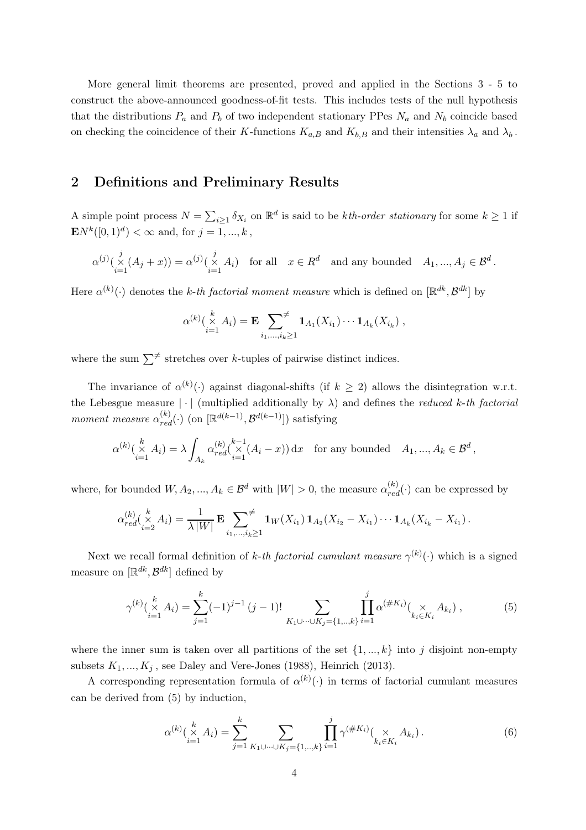More general limit theorems are presented, proved and applied in the Sections 3 - 5 to construct the above-announced goodness-of-fit tests. This includes tests of the null hypothesis that the distributions  $P_a$  and  $P_b$  of two independent stationary PPes  $N_a$  and  $N_b$  coincide based on checking the coincidence of their K-functions  $K_{a,B}$  and  $K_{b,B}$  and their intensities  $\lambda_a$  and  $\lambda_b$ .

## 2 Definitions and Preliminary Results

A simple point process  $N = \sum_{i\geq 1} \delta_{X_i}$  on  $\mathbb{R}^d$  is said to be *kth-order stationary* for some  $k \geq 1$  if  $\mathbf{E} N^{k}([0,1)^{d}) < \infty$  and, for  $j = 1, ..., k$ ,

$$
\alpha^{(j)}\left(\underset{i=1}{\overset{j}{\times}}(A_j+x)\right) = \alpha^{(j)}\left(\underset{i=1}{\overset{j}{\times}}A_i\right) \quad \text{for all} \quad x \in R^d \quad \text{and any bounded} \quad A_1, \dots, A_j \in \mathcal{B}^d.
$$

Here  $\alpha^{(k)}(\cdot)$  denotes the *k*-th factorial moment measure which is defined on  $[\mathbb{R}^{dk}, \mathcal{B}^{dk}]$  by

$$
\alpha^{(k)}(\mathop{\times}\limits_{i=1}^k A_i) = \mathbf{E} \sum_{i_1,\dots,i_k \geq 1} \mathbf{1}_{A_1}(X_{i_1}) \cdots \mathbf{1}_{A_k}(X_{i_k}),
$$

where the sum  $\sum^{\neq}$  stretches over k-tuples of pairwise distinct indices.

The invariance of  $\alpha^{(k)}(\cdot)$  against diagonal-shifts (if  $k \geq 2$ ) allows the disintegration w.r.t. the Lebesgue measure  $|\cdot|$  (multiplied additionally by  $\lambda$ ) and defines the *reduced k-th factorial* moment measure  $\alpha_{red}^{(k)}(\cdot)$  (on  $[\mathbb{R}^{d(k-1)}, \mathcal{B}^{d(k-1)}]$ ) satisfying

$$
\alpha^{(k)}\left(\underset{i=1}{\overset{k}{\times}}A_i\right) = \lambda \int_{A_k} \alpha^{(k)}_{red}\left(\underset{i=1}{\overset{k-1}{\times}}(A_i - x)\right) \mathrm{d}x \quad \text{for any bounded} \quad A_1, ..., A_k \in \mathcal{B}^d,
$$

where, for bounded  $W, A_2, ..., A_k \in \mathcal{B}^d$  with  $|W| > 0$ , the measure  $\alpha_{red}^{(k)}(\cdot)$  can be expressed by

$$
\alpha_{red}^{(k)}(\mathop{\times}\limits_{i=2}^k A_i) = \frac{1}{\lambda |W|} \mathbf{E} \sum_{i_1,\ldots,i_k \geq 1}^{\neq} \mathbf{1}_W(X_{i_1}) \mathbf{1}_{A_2}(X_{i_2} - X_{i_1}) \cdots \mathbf{1}_{A_k}(X_{i_k} - X_{i_1}).
$$

Next we recall formal definition of k-th factorial cumulant measure  $\gamma^{(k)}(\cdot)$  which is a signed measure on  $[\mathbb{R}^{dk}, \mathcal{B}^{dk}]$  defined by

$$
\gamma^{(k)}\left(\underset{i=1}{\overset{k}{\times}}A_{i}\right) = \sum_{j=1}^{k}(-1)^{j-1}\left(j-1\right)!\sum_{K_{1}\cup\cdots\cup K_{j}=\{1,\ldots,k\}}\prod_{i=1}^{j}\alpha^{(\#K_{i})}\left(\underset{k_{i}\in K_{i}}{\times}A_{k_{i}}\right),\tag{5}
$$

where the inner sum is taken over all partitions of the set  $\{1, ..., k\}$  into j disjoint non-empty subsets  $K_1, ..., K_j$ , see Daley and Vere-Jones (1988), Heinrich (2013).

A corresponding representation formula of  $\alpha^{(k)}(\cdot)$  in terms of factorial cumulant measures can be derived from (5) by induction,

$$
\alpha^{(k)}\left(\underset{i=1}{\overset{k}{\times}}A_{i}\right) = \sum_{j=1}^{k} \sum_{K_{1}\cup\cdots\cup K_{j}=\{1,\ldots,k\}} \prod_{i=1}^{j} \gamma^{(\#K_{i})}\left(\underset{k_{i}\in K_{i}}{\times}A_{k_{i}}\right). \tag{6}
$$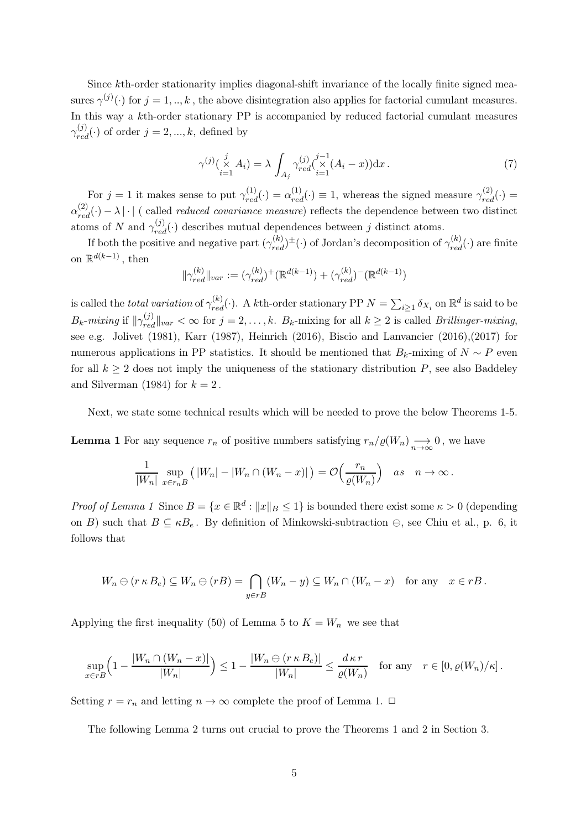Since kth-order stationarity implies diagonal-shift invariance of the locally finite signed measures  $\gamma^{(j)}(\cdot)$  for  $j = 1, ..., k$ , the above disintegration also applies for factorial cumulant measures. In this way a kth-order stationary PP is accompanied by reduced factorial cumulant measures  $\gamma_{red}^{(j)}(\cdot)$  of order  $j = 2, ..., k$ , defined by

$$
\gamma^{(j)}\left(\underset{i=1}{\overset{j}{\times}}A_{i}\right) = \lambda \int_{A_{j}} \gamma^{(j)}_{red}\left(\underset{i=1}{\overset{j-1}{\times}}(A_{i}-x)\right) dx \,. \tag{7}
$$

For  $j = 1$  it makes sense to put  $\gamma_{red}^{(1)}(\cdot) = \alpha_{red}^{(1)}(\cdot) \equiv 1$ , whereas the signed measure  $\gamma_{red}^{(2)}(\cdot) =$  $\alpha_{red}^{(2)}(\cdot) - \lambda |\cdot|$  (called *reduced covariance measure*) reflects the dependence between two distinct atoms of N and  $\gamma_{red}^{(j)}(\cdot)$  describes mutual dependences between j distinct atoms.

If both the positive and negative part  $(\gamma_{red}^{(k)})^{\pm}(\cdot)$  of Jordan's decomposition of  $\gamma_{red}^{(k)}(\cdot)$  are finite on  $\mathbb{R}^{d(k-1)}$ , then

$$
\|\gamma_{red}^{(k)}\|_{var} := (\gamma_{red}^{(k)})^+(\mathbb{R}^{d(k-1)}) + (\gamma_{red}^{(k)})^-(\mathbb{R}^{d(k-1)})
$$

is called the *total variation* of  $\gamma_{red}^{(k)}(\cdot)$ . A *k*th-order stationary PP  $N = \sum_{i\geq 1} \delta_{X_i}$  on  $\mathbb{R}^d$  is said to be  $B_k$ -mixing if  $\|\gamma_{red}^{(j)}\|_{var} < \infty$  for  $j = 2, ..., k$ .  $B_k$ -mixing for all  $k \ge 2$  is called *Brillinger-mixing*, see e.g. Jolivet (1981), Karr (1987), Heinrich (2016), Biscio and Lanvancier (2016),(2017) for numerous applications in PP statistics. It should be mentioned that  $B_k$ -mixing of  $N \sim P$  even for all  $k \geq 2$  does not imply the uniqueness of the stationary distribution P, see also Baddeley and Silverman (1984) for  $k = 2$ .

Next, we state some technical results which will be needed to prove the below Theorems 1-5.

**Lemma 1** For any sequence  $r_n$  of positive numbers satisfying  $r_n/\varrho(W_n) \longrightarrow 0$ , we have

$$
\frac{1}{|W_n|}\sup_{x\in r_nB}\left(|W_n| - |W_n\cap (W_n - x)|\right) = \mathcal{O}\left(\frac{r_n}{\varrho(W_n)}\right) \quad as \quad n \to \infty.
$$

*Proof of Lemma 1* Since  $B = \{x \in \mathbb{R}^d : ||x||_B \le 1\}$  is bounded there exist some  $\kappa > 0$  (depending on B) such that  $B \subseteq \kappa B_e$ . By definition of Minkowski-subtraction  $\ominus$ , see Chiu et al., p. 6, it follows that

$$
W_n \ominus (r \kappa B_e) \subseteq W_n \ominus (rB) = \bigcap_{y \in rB} (W_n - y) \subseteq W_n \cap (W_n - x) \text{ for any } x \in rB.
$$

Applying the first inequality (50) of Lemma 5 to  $K = W_n$  we see that

$$
\sup_{x \in rB} \left(1 - \frac{|W_n \cap (W_n - x)|}{|W_n|}\right) \le 1 - \frac{|W_n \ominus (r \kappa B_e)|}{|W_n|} \le \frac{d \kappa r}{\varrho(W_n)} \quad \text{for any} \quad r \in [0, \varrho(W_n)/\kappa].
$$

Setting  $r = r_n$  and letting  $n \to \infty$  complete the proof of Lemma 1.  $\Box$ 

The following Lemma 2 turns out crucial to prove the Theorems 1 and 2 in Section 3.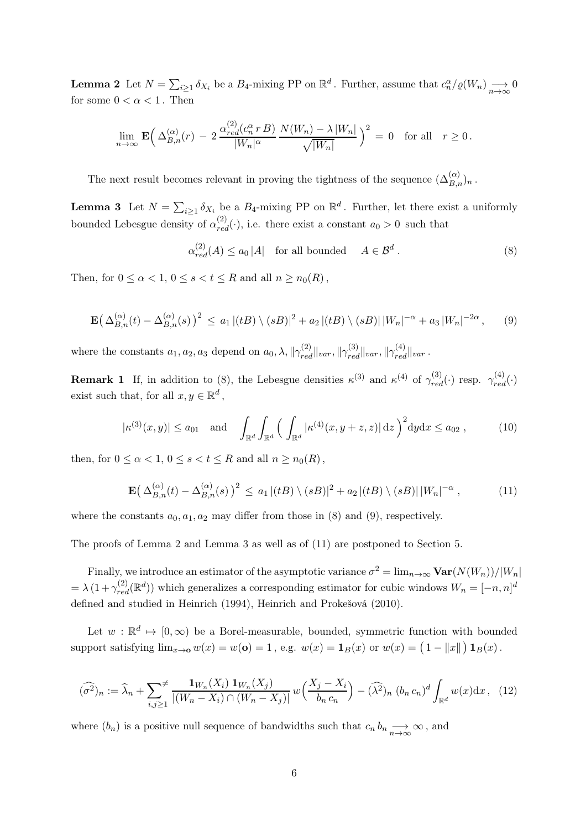**Lemma 2** Let  $N = \sum_{i \geq 1} \delta_{X_i}$  be a  $B_4$ -mixing PP on  $\mathbb{R}^d$ . Further, assume that  $c_n^{\alpha}/\varrho(W_n) \longrightarrow 0$ for some  $0 < \alpha < 1$  . Then

$$
\lim_{n \to \infty} \mathbf{E} \Big( \Delta_{B,n}^{(\alpha)}(r) - 2 \frac{\alpha_{red}^{(2)}(c_n^{\alpha} r B)}{|W_n|^{\alpha}} \frac{N(W_n) - \lambda |W_n|}{\sqrt{|W_n|}} \Big)^2 = 0 \text{ for all } r \ge 0.
$$

The next result becomes relevant in proving the tightness of the sequence  $(\Delta_{B,n}^{(\alpha)})_n$ .

**Lemma 3** Let  $N = \sum_{i\geq 1} \delta_{X_i}$  be a  $B_4$ -mixing PP on  $\mathbb{R}^d$ . Further, let there exist a uniformly bounded Lebesgue density of  $\alpha_{red}^{(2)}(.)$ , i.e. there exist a constant  $a_0 > 0$  such that

> $\alpha_{red}^{(2)}(A) \le a_0 |A|$  for all bounded  $A \in \mathcal{B}^d$ . (8)

Then, for  $0 \leq \alpha < 1, 0 \leq s < t \leq R$  and all  $n \geq n_0(R)$ ,

$$
\mathbf{E}\big(\,\Delta_{B,n}^{(\alpha)}(t)-\Delta_{B,n}^{(\alpha)}(s)\,\big)^2\,\leq\,a_1\,|(tB)\,\setminus(sB)|^2+a_2\,|(tB)\,\setminus(sB)||W_n|^{-\alpha}+a_3\,|W_n|^{-2\alpha}\,,\qquad(9)
$$

where the constants  $a_1, a_2, a_3$  depend on  $a_0, \lambda, ||\gamma_{red}^{(2)}||_{var}, ||\gamma_{red}^{(3)}||_{var}, ||\gamma_{red}^{(4)}||_{var}$ .

**Remark 1** If, in addition to (8), the Lebesgue densities  $\kappa^{(3)}$  and  $\kappa^{(4)}$  of  $\gamma_{red}^{(3)}(\cdot)$  resp.  $\gamma_{red}^{(4)}(\cdot)$ exist such that, for all  $x, y \in \mathbb{R}^d$ ,

$$
|\kappa^{(3)}(x,y)| \le a_{01}
$$
 and  $\int_{\mathbb{R}^d} \int_{\mathbb{R}^d} \left( \int_{\mathbb{R}^d} |\kappa^{(4)}(x,y+z,z)| dz \right)^2 dy dx \le a_{02}$ , (10)

then, for  $0 \leq \alpha < 1, 0 \leq s < t \leq R$  and all  $n \geq n_0(R)$ ,

$$
\mathbf{E}\left(\Delta_{B,n}^{(\alpha)}(t) - \Delta_{B,n}^{(\alpha)}(s)\right)^2 \leq a_1 \left|(tB)\setminus (sB)\right|^2 + a_2 \left|(tB)\setminus (sB)\right| |W_n|^{-\alpha},\tag{11}
$$

where the constants  $a_0, a_1, a_2$  may differ from those in (8) and (9), respectively.

The proofs of Lemma 2 and Lemma 3 as well as of (11) are postponed to Section 5.

Finally, we introduce an estimator of the asymptotic variance  $\sigma^2 = \lim_{n \to \infty} \mathbf{Var}(N(W_n))/|W_n|$  $= \lambda (1 + \gamma_{red}^{(2)}(\mathbb{R}^d))$  which generalizes a corresponding estimator for cubic windows  $W_n = [-n, n]^d$ defined and studied in Heinrich (1994), Heinrich and Prokešová (2010).

Let  $w : \mathbb{R}^d \mapsto [0, \infty)$  be a Borel-measurable, bounded, symmetric function with bounded support satisfying  $\lim_{x\to\mathbf{0}} w(x) = w(\mathbf{0}) = 1$ , e.g.  $w(x) = \mathbf{1}_B(x)$  or  $w(x) = \left(1 - ||x||\right) \mathbf{1}_B(x)$ .

$$
(\widehat{\sigma^2})_n := \widehat{\lambda}_n + \sum_{i,j \ge 1} \frac{\mathbf{1}_{W_n}(X_i) \, \mathbf{1}_{W_n}(X_j)}{|(W_n - X_i) \cap (W_n - X_j)|} \, w\Big(\frac{X_j - X_i}{b_n \, c_n}\Big) - (\widehat{\lambda^2})_n \, (b_n \, c_n)^d \int_{\mathbb{R}^d} w(x) \mathrm{d}x \,, \tag{12}
$$

where  $(b_n)$  is a positive null sequence of bandwidths such that  $c_n b_n \longrightarrow_{n \to \infty} \infty$ , and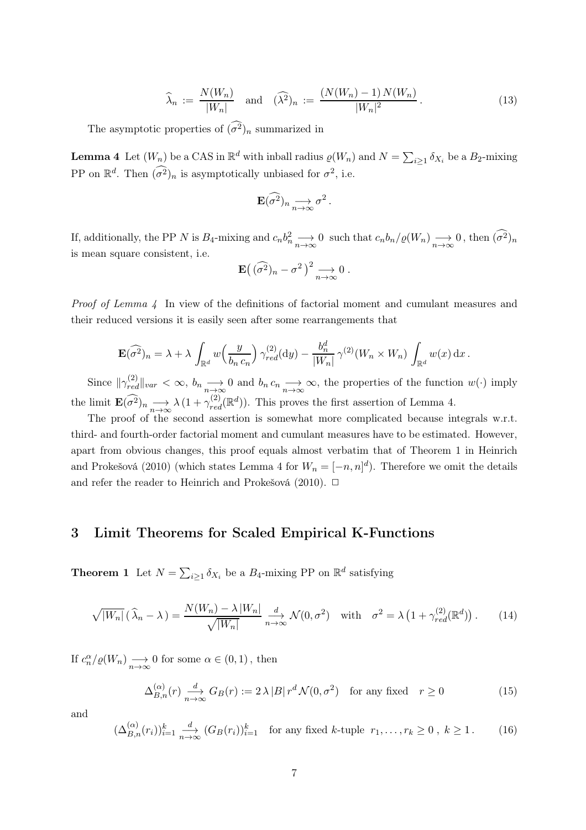$$
\widehat{\lambda}_n := \frac{N(W_n)}{|W_n|} \quad \text{and} \quad (\widehat{\lambda}^2)_n := \frac{(N(W_n) - 1)N(W_n)}{|W_n|^2}.
$$
\n<sup>(13)</sup>

The asymptotic properties of  $(\sigma^2)_n$  summarized in

**Lemma 4** Let  $(W_n)$  be a CAS in  $\mathbb{R}^d$  with inball radius  $\varrho(W_n)$  and  $N = \sum_{i \geq 1} \delta_{X_i}$  be a  $B_2$ -mixing PP on  $\mathbb{R}^d$ . Then  $(\widehat{\sigma^2})_n$  is asymptotically unbiased for  $\sigma^2$ , i.e.

$$
\mathbf{E}(\widehat{\sigma^2})_n \underset{n \to \infty}{\longrightarrow} \sigma^2.
$$

If, additionally, the PP N is  $B_4$ -mixing and  $c_n b_n^2 \longrightarrow 0$  such that  $c_n b_n / \varrho(W_n) \longrightarrow 0$ , then  $(\sigma^2)_n$ is mean square consistent, i.e.

$$
\mathbf{E}\left(\left(\widehat{\sigma^2}\right)_n-\sigma^2\right)^2\underset{n\to\infty}{\longrightarrow}0.
$$

Proof of Lemma 4 In view of the definitions of factorial moment and cumulant measures and their reduced versions it is easily seen after some rearrangements that

$$
\mathbf{E}(\widehat{\sigma^2})_n = \lambda + \lambda \int_{\mathbb{R}^d} w\left(\frac{y}{b_n c_n}\right) \gamma_{red}^{(2)}(\mathrm{d}y) - \frac{b_n^d}{|W_n|} \gamma^{(2)}(W_n \times W_n) \int_{\mathbb{R}^d} w(x) \,\mathrm{d}x.
$$

Since  $\|\gamma_{red}^{(2)}\|_{var} < \infty$ ,  $b_n \longrightarrow 0$  and  $b_n c_n \longrightarrow \infty$ , the properties of the function  $w(\cdot)$  imply the limit  $\mathbf{E}(\widehat{\sigma^2})_n \longrightarrow \lambda (1 + \gamma_{red}^{(2)}(\mathbb{R}^d))$ . This proves the first assertion of Lemma 4.

The proof of the second assertion is somewhat more complicated because integrals w.r.t. third- and fourth-order factorial moment and cumulant measures have to be estimated. However, apart from obvious changes, this proof equals almost verbatim that of Theorem 1 in Heinrich and Prokešová (2010) (which states Lemma 4 for  $W_n = [-n, n]^d$ ). Therefore we omit the details and refer the reader to Heinrich and Prokesová (2010).  $\Box$ 

## 3 Limit Theorems for Scaled Empirical K-Functions

**Theorem 1** Let  $N = \sum_{i \geq 1} \delta_{X_i}$  be a  $B_4$ -mixing PP on  $\mathbb{R}^d$  satisfying

$$
\sqrt{|W_n|} \left(\widehat{\lambda}_n - \lambda\right) = \frac{N(W_n) - \lambda |W_n|}{\sqrt{|W_n|}} \underset{n \to \infty}{\overset{d}{\to}} \mathcal{N}(0, \sigma^2) \quad \text{with} \quad \sigma^2 = \lambda \left(1 + \gamma_{red}^{(2)}(\mathbb{R}^d)\right). \tag{14}
$$

If  $c_n^{\alpha}/\varrho(W_n) \longrightarrow 0$  for some  $\alpha \in (0,1)$ , then

$$
\Delta_{B,n}^{(\alpha)}(r) \xrightarrow[n \to \infty]{d} G_B(r) := 2 \lambda |B| r^d \mathcal{N}(0, \sigma^2) \quad \text{for any fixed} \quad r \ge 0 \tag{15}
$$

and

$$
(\Delta_{B,n}^{(\alpha)}(r_i))_{i=1}^k \xrightarrow[n \to \infty]{d} (G_B(r_i))_{i=1}^k \quad \text{for any fixed } k \text{-tuple } r_1, \dots, r_k \ge 0 \text{ , } k \ge 1. \tag{16}
$$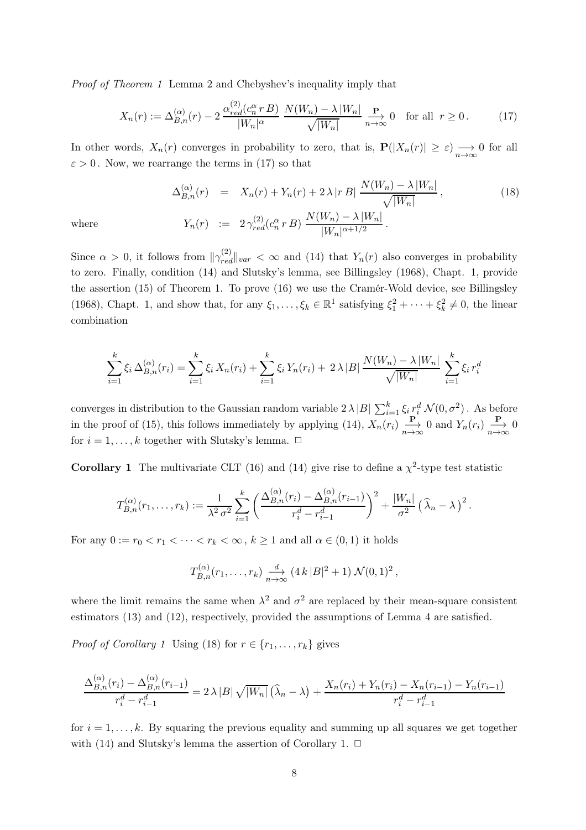Proof of Theorem 1 Lemma 2 and Chebyshev's inequality imply that

$$
X_n(r) := \Delta_{B,n}^{(\alpha)}(r) - 2 \frac{\alpha_{red}^{(2)}(c_n^{\alpha} r B)}{|W_n|^{\alpha}} \frac{N(W_n) - \lambda |W_n|}{\sqrt{|W_n|}} \xrightarrow[n \to \infty]{\mathbf{P}} 0 \quad \text{for all } r \ge 0. \tag{17}
$$

In other words,  $X_n(r)$  converges in probability to zero, that is,  $\mathbf{P}(|X_n(r)| \geq \varepsilon) \longrightarrow 0$  for all  $\varepsilon > 0$ . Now, we rearrange the terms in (17) so that

$$
\Delta_{B,n}^{(\alpha)}(r) = X_n(r) + Y_n(r) + 2\lambda |r| \frac{N(W_n) - \lambda |W_n|}{\sqrt{|W_n|}},
$$
\nwhere\n
$$
Y_n(r) := 2\gamma_{red}^{(2)}(c_n^{\alpha} r) \frac{N(W_n) - \lambda |W_n|}{|W_n|^{\alpha + 1/2}}.
$$
\n(18)

 $\frac{N|N|}{|W_n|^{\alpha+1/2}}$ .

Since  $\alpha > 0$ , it follows from  $\|\gamma_{red}^{(2)}\|_{var} < \infty$  and (14) that  $Y_n(r)$  also converges in probability to zero. Finally, condition (14) and Slutsky's lemma, see Billingsley (1968), Chapt. 1, provide the assertion (15) of Theorem 1. To prove (16) we use the Cramér-Wold device, see Billingsley (1968), Chapt. 1, and show that, for any  $\xi_1, \ldots, \xi_k \in \mathbb{R}^1$  satisfying  $\xi_1^2 + \cdots + \xi_k^2 \neq 0$ , the linear combination

$$
\sum_{i=1}^{k} \xi_i \Delta_{B,n}^{(\alpha)}(r_i) = \sum_{i=1}^{k} \xi_i X_n(r_i) + \sum_{i=1}^{k} \xi_i Y_n(r_i) + 2\lambda |B| \frac{N(W_n) - \lambda |W_n|}{\sqrt{|W_n|}} \sum_{i=1}^{k} \xi_i r_i^d
$$

converges in distribution to the Gaussian random variable  $2 \lambda |B| \sum_{i=1}^{k} \xi_i r_i^d \mathcal{N}(0, \sigma^2)$ . As before in the proof of (15), this follows immediately by applying (14),  $X_n(r_i)$  $\frac{\mathbf{P}^{\prime}}{n \to \infty}$  0 and  $Y_n(r_i) \frac{\mathbf{P}^{\prime}}{n \to \infty}$  $\longrightarrow_{n\to\infty}$  0 for  $i = 1, \ldots, k$  together with Slutsky's lemma.  $\Box$ 

**Corollary 1** The multivariate CLT (16) and (14) give rise to define a  $\chi^2$ -type test statistic

$$
T_{B,n}^{(\alpha)}(r_1,\ldots,r_k) := \frac{1}{\lambda^2 \sigma^2} \sum_{i=1}^k \left( \frac{\Delta_{B,n}^{(\alpha)}(r_i) - \Delta_{B,n}^{(\alpha)}(r_{i-1})}{r_i^d - r_{i-1}^d} \right)^2 + \frac{|W_n|}{\sigma^2} \left( \widehat{\lambda}_n - \lambda \right)^2.
$$

For any  $0 := r_0 < r_1 < \cdots < r_k < \infty$ ,  $k \ge 1$  and all  $\alpha \in (0, 1)$  it holds

$$
T_{B,n}^{(\alpha)}(r_1,\ldots,r_k) \xrightarrow[n \to \infty]{} (4k|B|^2+1) \mathcal{N}(0,1)^2,
$$

where the limit remains the same when  $\lambda^2$  and  $\sigma^2$  are replaced by their mean-square consistent estimators (13) and (12), respectively, provided the assumptions of Lemma 4 are satisfied.

*Proof of Corollary 1* Using (18) for  $r \in \{r_1, \ldots, r_k\}$  gives

$$
\frac{\Delta_{B,n}^{(\alpha)}(r_i) - \Delta_{B,n}^{(\alpha)}(r_{i-1})}{r_i^d - r_{i-1}^d} = 2\lambda |B| \sqrt{|W_n|} (\widehat{\lambda}_n - \lambda) + \frac{X_n(r_i) + Y_n(r_i) - X_n(r_{i-1}) - Y_n(r_{i-1})}{r_i^d - r_{i-1}^d}
$$

for  $i = 1, \ldots, k$ . By squaring the previous equality and summing up all squares we get together with (14) and Slutsky's lemma the assertion of Corollary 1.  $\Box$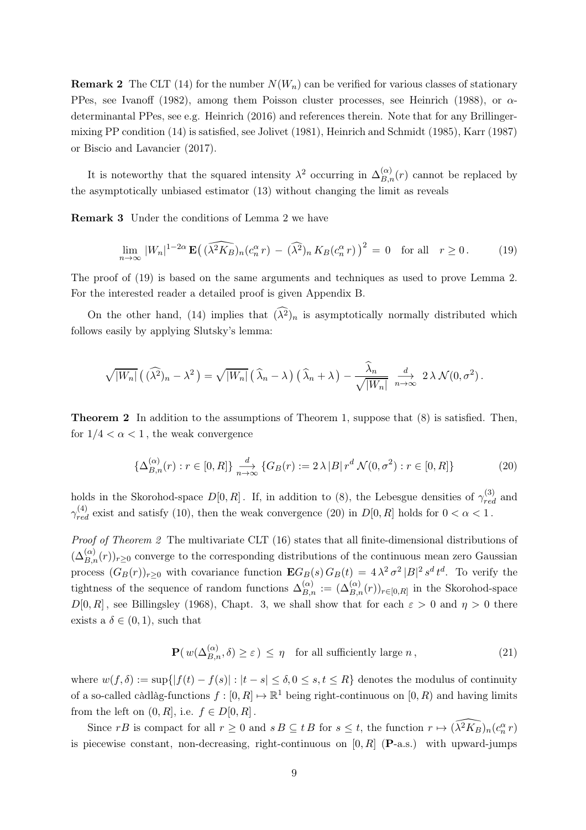**Remark 2** The CLT (14) for the number  $N(W_n)$  can be verified for various classes of stationary PPes, see Ivanoff (1982), among them Poisson cluster processes, see Heinrich (1988), or  $\alpha$ determinantal PPes, see e.g. Heinrich (2016) and references therein. Note that for any Brillingermixing PP condition (14) is satisfied, see Jolivet (1981), Heinrich and Schmidt (1985), Karr (1987) or Biscio and Lavancier (2017).

It is noteworthy that the squared intensity  $\lambda^2$  occurring in  $\Delta_{B,n}^{(\alpha)}(r)$  cannot be replaced by the asymptotically unbiased estimator (13) without changing the limit as reveals

Remark 3 Under the conditions of Lemma 2 we have

$$
\lim_{n \to \infty} |W_n|^{1-2\alpha} \mathbf{E} \big( \widehat{(\lambda^2 K_B)_n} (c_n^{\alpha} r) - (\widehat{\lambda^2})_n K_B(c_n^{\alpha} r) \big)^2 = 0 \quad \text{for all} \quad r \ge 0. \tag{19}
$$

The proof of (19) is based on the same arguments and techniques as used to prove Lemma 2. For the interested reader a detailed proof is given Appendix B.

On the other hand, (14) implies that  $(\widehat{\lambda^2})_n$  is asymptotically normally distributed which follows easily by applying Slutsky's lemma:

$$
\sqrt{|W_n|} \left( (\widehat{\lambda^2})_n - \lambda^2 \right) = \sqrt{|W_n|} \left( \widehat{\lambda}_n - \lambda \right) \left( \widehat{\lambda}_n + \lambda \right) - \frac{\lambda_n}{\sqrt{|W_n|}} \underset{n \to \infty}{\xrightarrow{d}} 2 \lambda \mathcal{N}(0, \sigma^2).
$$

Theorem 2 In addition to the assumptions of Theorem 1, suppose that (8) is satisfied. Then, for  $1/4 < \alpha < 1$ , the weak convergence

$$
\left\{\Delta_{B,n}^{(\alpha)}(r) : r \in [0,R]\right\} \underset{n \to \infty}{\longrightarrow} \left\{G_B(r) := 2\lambda \left|B\right| r^d \mathcal{N}(0,\sigma^2) : r \in [0,R]\right\} \tag{20}
$$

holds in the Skorohod-space  $D[0, R]$ . If, in addition to (8), the Lebesgue densities of  $\gamma_{red}^{(3)}$  and  $\gamma_{red}^{(4)}$  exist and satisfy (10), then the weak convergence (20) in  $D[0,R]$  holds for  $0 < \alpha < 1$ .

Proof of Theorem 2 The multivariate CLT (16) states that all finite-dimensional distributions of  $(\Delta_{B,n}^{(\alpha)}(r))_{r\geq 0}$  converge to the corresponding distributions of the continuous mean zero Gaussian process  $(G_B(r))_{r\geq 0}$  with covariance function  $\mathbf{E}G_B(s)G_B(t) = 4\lambda^2 \sigma^2 |B|^2 s^d t^d$ . To verify the tightness of the sequence of random functions  $\Delta_{B,n}^{(\alpha)} := (\Delta_{B,n}^{(\alpha)}(r))_{r \in [0,R]}$  in the Skorohod-space  $D[0, R]$ , see Billingsley (1968), Chapt. 3, we shall show that for each  $\varepsilon > 0$  and  $\eta > 0$  there exists a  $\delta \in (0,1)$ , such that

$$
\mathbf{P}(w(\Delta_{B,n}^{(\alpha)}, \delta) \ge \varepsilon) \le \eta \quad \text{for all sufficiently large } n,\tag{21}
$$

where  $w(f, \delta) := \sup\{|f(t) - f(s)| : |t - s| \leq \delta, 0 \leq s, t \leq R\}$  denotes the modulus of continuity of a so-called càdlàg-functions  $f : [0, R] \mapsto \mathbb{R}^1$  being right-continuous on  $[0, R)$  and having limits from the left on  $(0, R]$ , i.e.  $f \in D[0, R]$ .

Since rB is compact for all  $r \geq 0$  and  $sB \subseteq tB$  for  $s \leq t$ , the function  $r \mapsto (\widehat{\lambda^2 K_B})_n(c_n^{\alpha}r)$ is piecewise constant, non-decreasing, right-continuous on  $[0, R]$  (P-a.s.) with upward-jumps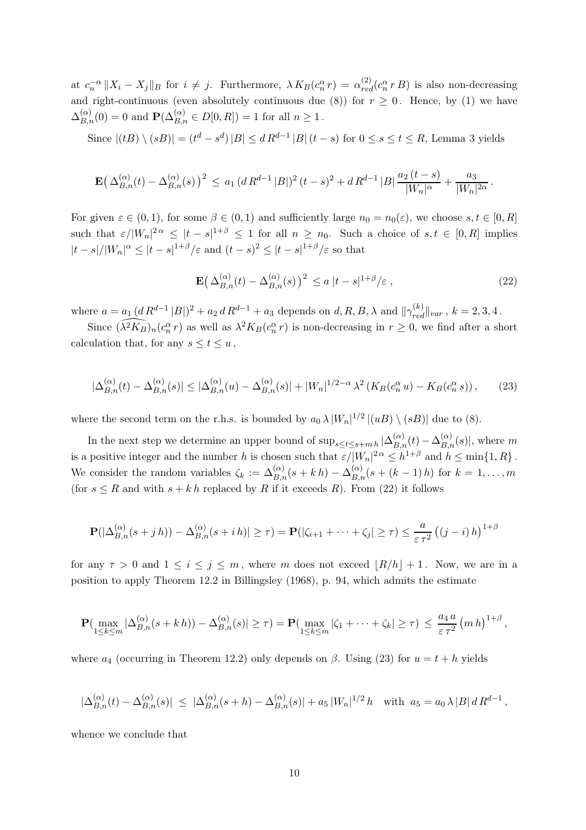at  $c_n^{-\alpha} \|X_i - X_j\|_B$  for  $i \neq j$ . Furthermore,  $\lambda K_B(c_n^{\alpha} r) = \alpha_{red}^{(2)}(c_n^{\alpha} r)$  is also non-decreasing and right-continuous (even absolutely continuous due (8)) for  $r \geq 0$ . Hence, by (1) we have  $\Delta_{B,n}^{(\alpha)}(0) = 0$  and  $\mathbf{P}(\Delta_{B,n}^{(\alpha)} \in D[0,R]) = 1$  for all  $n \ge 1$ .

Since  $|(tB) \setminus (sB)| = (t^d - s^d) |B| \le d R^{d-1} |B| (t - s)$  for  $0 \le s \le t \le R$ , Lemma 3 yields

$$
\mathbf{E}\left(\Delta_{B,n}^{(\alpha)}(t)-\Delta_{B,n}^{(\alpha)}(s)\right)^2 \,\leq\, a_1\,(d\,R^{d-1}\,|B|)^2\,(t-s)^2+d\,R^{d-1}\,|B|\,\frac{a_2\,(t-s)}{|W_n|^{\alpha}}+\frac{a_3}{|W_n|^{2\alpha}}
$$

For given  $\varepsilon \in (0,1)$ , for some  $\beta \in (0,1)$  and sufficiently large  $n_0 = n_0(\varepsilon)$ , we choose  $s, t \in [0,R]$ such that  $\varepsilon/|W_n|^2 \alpha \leq |t-s|^{1+\beta} \leq 1$  for all  $n \geq n_0$ . Such a choice of  $s, t \in [0, R]$  implies  $|t - s|/|W_n|^{\alpha} \leq |t - s|^{1+\beta}/\varepsilon$  and  $(t - s)^2 \leq |t - s|^{1+\beta}/\varepsilon$  so that

$$
\mathbf{E}\left(\Delta_{B,n}^{(\alpha)}(t) - \Delta_{B,n}^{(\alpha)}(s)\right)^2 \le a \left| t - s \right|^{1+\beta}/\varepsilon ,\qquad(22)
$$

.

where  $a = a_1 (d R^{d-1} |B|)^2 + a_2 d R^{d-1} + a_3$  depends on  $d, R, B, \lambda$  and  $||\gamma_{red}^{(k)}||_{var}$ ,  $k = 2, 3, 4$ .

Since  $\widehat{(\lambda^2 K_B)}_n(c_n^{\alpha} r)$  as well as  $\lambda^2 K_B(c_n^{\alpha} r)$  is non-decreasing in  $r \geq 0$ , we find after a short calculation that, for any  $s \le t \le u$ ,

$$
|\Delta_{B,n}^{(\alpha)}(t) - \Delta_{B,n}^{(\alpha)}(s)| \le |\Delta_{B,n}^{(\alpha)}(u) - \Delta_{B,n}^{(\alpha)}(s)| + |W_n|^{1/2 - \alpha} \lambda^2 \left( K_B(c_n^{\alpha} u) - K_B(c_n^{\alpha} s) \right), \tag{23}
$$

where the second term on the r.h.s. is bounded by  $a_0 \lambda |W_n|^{1/2} |(uB) \setminus (sB)|$  due to (8).

In the next step we determine an upper bound of  $\sup_{s\leq t\leq s+m} |\Delta_{B,n}^{(\alpha)}(t) - \Delta_{B,n}^{(\alpha)}(s)|$ , where m is a positive integer and the number h is chosen such that  $\varepsilon/|W_n|^{2\alpha} \leq h^{1+\beta}$  and  $h \leq \min\{1, R\}$ . We consider the random variables  $\zeta_k := \Delta_{B,n}^{(\alpha)}(s+kh) - \Delta_{B,n}^{(\alpha)}(s+(k-1)h)$  for  $k=1,\ldots,m$ (for  $s \leq R$  and with  $s + k h$  replaced by R if it exceeds R). From (22) it follows

$$
\mathbf{P}(|\Delta_{B,n}^{(\alpha)}(s+jh)) - \Delta_{B,n}^{(\alpha)}(s+h)| \geq \tau) = \mathbf{P}(|\zeta_{i+1} + \dots + \zeta_j| \geq \tau) \leq \frac{a}{\varepsilon \tau^2} ((j-i)h)^{1+\beta}
$$

for any  $\tau > 0$  and  $1 \leq i \leq j \leq m$ , where m does not exceed  $|R/h| + 1$ . Now, we are in a position to apply Theorem 12.2 in Billingsley (1968), p. 94, which admits the estimate

$$
\mathbf{P}(\max_{1\leq k\leq m}|\Delta_{B,n}^{(\alpha)}(s+kh))-\Delta_{B,n}^{(\alpha)}(s)|\geq \tau)=\mathbf{P}(\max_{1\leq k\leq m}|\zeta_1+\cdots+\zeta_k|\geq \tau)\,\leq\,\frac{a_4\,a}{\varepsilon\,\tau^2}\,(m\,h)^{1+\beta}\,,
$$

where  $a_4$  (occurring in Theorem 12.2) only depends on  $\beta$ . Using (23) for  $u = t + h$  yields

$$
|\Delta_{B,n}^{(\alpha)}(t) - \Delta_{B,n}^{(\alpha)}(s)| \leq |\Delta_{B,n}^{(\alpha)}(s+h) - \Delta_{B,n}^{(\alpha)}(s)| + a_5 |W_n|^{1/2} h \text{ with } a_5 = a_0 \lambda |B| d R^{d-1},
$$

whence we conclude that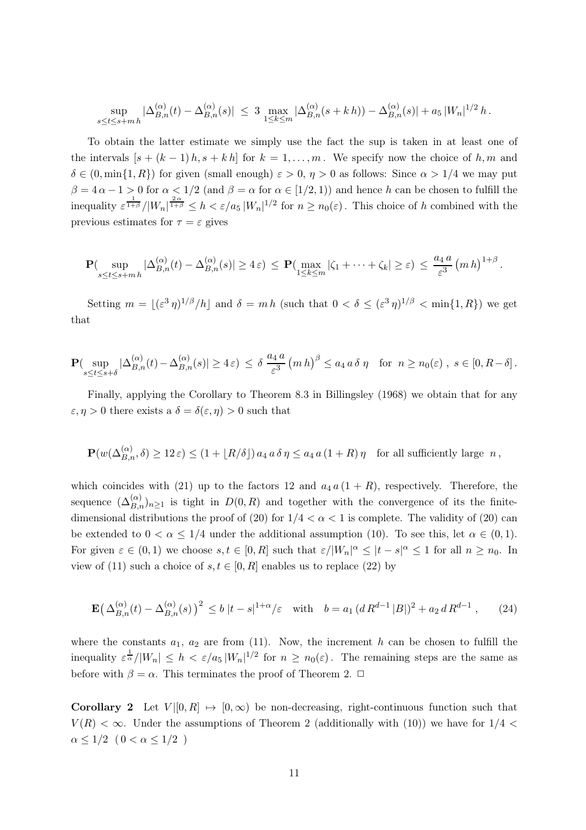$$
\sup_{s\leq t\leq s+m}|\Delta_{B,n}^{(\alpha)}(t)-\Delta_{B,n}^{(\alpha)}(s)|\ \leq\ 3\,\max_{1\leq k\leq m}|\Delta_{B,n}^{(\alpha)}(s+k\,h))-\Delta_{B,n}^{(\alpha)}(s)|+a_5\,|W_n|^{1/2}\,h\,.
$$

To obtain the latter estimate we simply use the fact the sup is taken in at least one of the intervals  $[s + (k-1)h, s + kh]$  for  $k = 1, \ldots, m$ . We specify now the choice of h, m and  $\delta \in (0, \min\{1, R\})$  for given (small enough)  $\varepsilon > 0$ ,  $\eta > 0$  as follows: Since  $\alpha > 1/4$  we may put  $\beta = 4 \alpha - 1 > 0$  for  $\alpha < 1/2$  (and  $\beta = \alpha$  for  $\alpha \in [1/2, 1)$ ) and hence h can be chosen to fulfill the inequality  $\epsilon^{\frac{1}{1+\beta}}/|W_n|^{\frac{2\alpha}{1+\beta}} \leq h < \epsilon/a_5 |W_n|^{1/2}$  for  $n \geq n_0(\epsilon)$ . This choice of h combined with the previous estimates for  $\tau = \varepsilon$  gives

$$
\mathbf{P}(\sup_{s\leq t\leq s+mh}|\Delta_{B,n}^{(\alpha)}(t)-\Delta_{B,n}^{(\alpha)}(s)|\geq 4\,\varepsilon)\,\leq\,\mathbf{P}(\max_{1\leq k\leq m}|\zeta_1+\cdots+\zeta_k|\geq \varepsilon)\,\leq\,\frac{a_4\,a}{\varepsilon^3}\,\bigl(m\,h\bigr)^{1+\beta}\,.
$$

Setting  $m = \lfloor (\varepsilon^3 \eta)^{1/\beta}/h \rfloor$  and  $\delta = m h$  (such that  $0 < \delta \leq (\varepsilon^3 \eta)^{1/\beta} < \min\{1, R\}$ ) we get that

$$
\mathbf{P}(\sup_{s\leq t\leq s+\delta}|\Delta_{B,n}^{(\alpha)}(t)-\Delta_{B,n}^{(\alpha)}(s)|\geq 4\epsilon)\,\leq\,\delta\,\frac{a_4\,a}{\varepsilon^3}\,\bigl(m\,h\bigr)^{\beta}\leq a_4\,a\,\delta\,\eta\quad\text{for}\ \, n\geq n_0(\varepsilon)\;, \;s\in[0,R-\delta]\,.
$$

Finally, applying the Corollary to Theorem 8.3 in Billingsley (1968) we obtain that for any  $\varepsilon, \eta > 0$  there exists a  $\delta = \delta(\varepsilon, \eta) > 0$  such that

$$
\mathbf{P}(w(\Delta_{B,n}^{(\alpha)},\delta) \ge 12\,\varepsilon) \le (1 + \lfloor R/\delta \rfloor) \, a_4 \, a \, \delta \, \eta \le a_4 \, a \, (1 + R)\,\eta \quad \text{for all sufficiently large } n\,,
$$

which coincides with (21) up to the factors 12 and  $a_4 a (1 + R)$ , respectively. Therefore, the sequence  $(\Delta_{B,n}^{(\alpha)})_{n\geq 1}$  is tight in  $D(0,R)$  and together with the convergence of its the finitedimensional distributions the proof of (20) for  $1/4 < \alpha < 1$  is complete. The validity of (20) can be extended to  $0 < \alpha \leq 1/4$  under the additional assumption (10). To see this, let  $\alpha \in (0,1)$ . For given  $\varepsilon \in (0,1)$  we choose  $s, t \in [0,R]$  such that  $\varepsilon/|W_n|^{\alpha} \leq |t-s|^{\alpha} \leq 1$  for all  $n \geq n_0$ . In view of (11) such a choice of  $s, t \in [0, R]$  enables us to replace (22) by

$$
\mathbf{E}\left(\Delta_{B,n}^{(\alpha)}(t) - \Delta_{B,n}^{(\alpha)}(s)\right)^2 \le b |t - s|^{1+\alpha}/\varepsilon \quad \text{with} \quad b = a_1 (dR^{d-1} |B|)^2 + a_2 dR^{d-1} \,,\tag{24}
$$

where the constants  $a_1, a_2$  are from (11). Now, the increment h can be chosen to fulfill the inequality  $\epsilon^{\frac{1}{\alpha}}/|W_n| \leq h < \epsilon/a_5 |W_n|^{1/2}$  for  $n \geq n_0(\epsilon)$ . The remaining steps are the same as before with  $\beta = \alpha$ . This terminates the proof of Theorem 2.  $\Box$ 

Corollary 2 Let  $V([0, R] \mapsto [0, \infty)$  be non-decreasing, right-continuous function such that  $V(R) < \infty$ . Under the assumptions of Theorem 2 (additionally with (10)) we have for  $1/4$  $\alpha \leq 1/2$   $(0 < \alpha \leq 1/2)$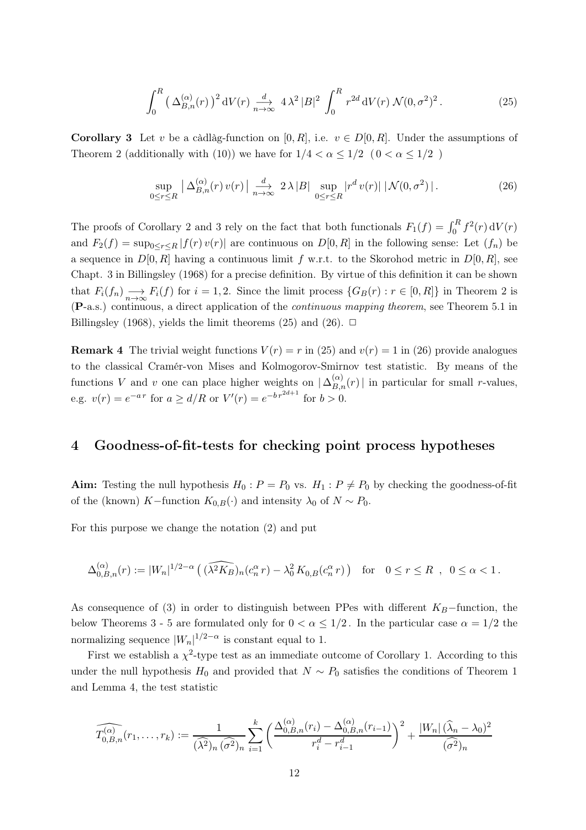$$
\int_0^R \left(\Delta_{B,n}^{(\alpha)}(r)\right)^2 dV(r) \xrightarrow[n \to \infty]{d} 4\lambda^2 |B|^2 \int_0^R r^{2d} dV(r) \mathcal{N}(0, \sigma^2)^2. \tag{25}
$$

**Corollary 3** Let v be a càdlàg-function on [0, R], i.e.  $v \in D[0, R]$ . Under the assumptions of Theorem 2 (additionally with (10)) we have for  $1/4 < \alpha \leq 1/2$  ( $0 < \alpha \leq 1/2$ )

$$
\sup_{0 \le r \le R} \left| \Delta_{B,n}^{(\alpha)}(r) v(r) \right| \underset{n \to \infty}{\xrightarrow{d}} 2 \lambda |B| \sup_{0 \le r \le R} |r^d v(r)| |\mathcal{N}(0, \sigma^2)|. \tag{26}
$$

The proofs of Corollary 2 and 3 rely on the fact that both functionals  $F_1(f) = \int_0^R f^2(r) dV(r)$ and  $F_2(f) = \sup_{0 \le r \le R} |f(r) v(r)|$  are continuous on  $D[0, R]$  in the following sense: Let  $(f_n)$  be a sequence in  $D[0, R]$  having a continuous limit f w.r.t. to the Skorohod metric in  $D[0, R]$ , see Chapt. 3 in Billingsley (1968) for a precise definition. By virtue of this definition it can be shown that  $F_i(f_n) \longrightarrow F_i(f)$  for  $i = 1, 2$ . Since the limit process  $\{G_B(r) : r \in [0, R]\}\$  in Theorem 2 is (P-a.s.) continuous, a direct application of the continuous mapping theorem, see Theorem 5.1 in Billingsley (1968), yields the limit theorems (25) and (26).  $\Box$ 

**Remark 4** The trivial weight functions  $V(r) = r$  in (25) and  $v(r) = 1$  in (26) provide analogues to the classical Cramér-von Mises and Kolmogorov-Smirnov test statistic. By means of the functions V and v one can place higher weights on  $\left|\Delta_{B,n}^{(\alpha)}(r)\right|$  in particular for small r-values, e.g.  $v(r) = e^{-ar}$  for  $a \ge d/R$  or  $V'(r) = e^{-br^{2d+1}}$  for  $b > 0$ .

#### 4 Goodness-of-fit-tests for checking point process hypotheses

Aim: Testing the null hypothesis  $H_0: P = P_0$  vs.  $H_1: P \neq P_0$  by checking the goodness-of-fit of the (known) K–function  $K_{0,B}(\cdot)$  and intensity  $\lambda_0$  of  $N \sim P_0$ .

For this purpose we change the notation (2) and put

$$
\Delta_{0,B,n}^{(\alpha)}(r) := |W_n|^{1/2 - \alpha} \left( (\widehat{\lambda^2 K_B})_n (c_n^{\alpha} r) - \lambda_0^2 K_{0,B}(c_n^{\alpha} r) \right) \quad \text{for} \quad 0 \le r \le R \quad , \quad 0 \le \alpha < 1 \, .
$$

As consequence of (3) in order to distinguish between PPes with different  $K_B$ -function, the below Theorems 3 - 5 are formulated only for  $0 < \alpha \leq 1/2$ . In the particular case  $\alpha = 1/2$  the normalizing sequence  $|W_n|^{1/2-\alpha}$  is constant equal to 1.

First we establish a  $\chi^2$ -type test as an immediate outcome of Corollary 1. According to this under the null hypothesis  $H_0$  and provided that  $N \sim P_0$  satisfies the conditions of Theorem 1 and Lemma 4, the test statistic

$$
\widehat{T_{0,B,n}^{(\alpha)}}(r_1,\ldots,r_k) := \frac{1}{(\widehat{\lambda^2})_n (\widehat{\sigma^2})_n} \sum_{i=1}^k \left( \frac{\Delta_{0,B,n}^{(\alpha)}(r_i) - \Delta_{0,B,n}^{(\alpha)}(r_{i-1})}{r_i^d - r_{i-1}^d} \right)^2 + \frac{|W_n| (\widehat{\lambda}_n - \lambda_0)^2}{(\widehat{\sigma^2})_n}
$$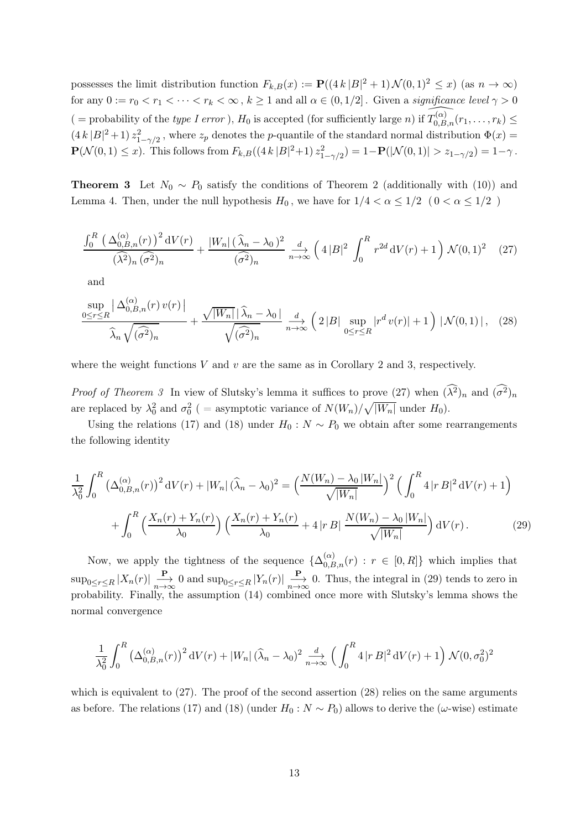possesses the limit distribution function  $F_{k,B}(x) := \mathbf{P}((4 k |B|^2 + 1) \mathcal{N}(0, 1)^2 \leq x)$  (as  $n \to \infty$ ) for any  $0 := r_0 < r_1 < \cdots < r_k < \infty$ ,  $k \ge 1$  and all  $\alpha \in (0, 1/2]$ . Given a *significance level*  $\gamma > 0$ ( = probability of the *type I error*),  $H_0$  is accepted (for sufficiently large n) if  $\widehat{T_{0,B,n}(r_1,\ldots,r_k)}$   $\leq$  $(4 k |B|^2 + 1) z_{1-\gamma/2}^2$ , where  $z_p$  denotes the *p*-quantile of the standard normal distribution  $\Phi(x) =$  $\mathbf{P}(\mathcal{N}(0,1) \leq x)$ . This follows from  $F_{k,B}((4k|B|^2+1)z_{1-\gamma/2}^2) = 1-\mathbf{P}(|\mathcal{N}(0,1)| > z_{1-\gamma/2}) = 1-\gamma$ .

**Theorem 3** Let  $N_0 \sim P_0$  satisfy the conditions of Theorem 2 (additionally with (10)) and Lemma 4. Then, under the null hypothesis  $H_0$ , we have for  $1/4 < \alpha \leq 1/2$   $(0 < \alpha \leq 1/2)$ 

$$
\frac{\int_0^R \left(\Delta_{0,B,n}^{(\alpha)}(r)\right)^2 dV(r)}{(\widehat{\lambda^2})_n (\widehat{\sigma^2})_n} + \frac{|W_n| \left(\widehat{\lambda}_n - \lambda_0\right)^2}{(\widehat{\sigma^2})_n} \xrightarrow[n \to \infty]{d} \left(4|B|^2 \int_0^R r^{2d} dV(r) + 1\right) \mathcal{N}(0,1)^2 \tag{27}
$$

and

$$
\frac{\sup_{0\leq r\leq R} \left| \Delta_{0,B,n}^{(\alpha)}(r) v(r) \right|}{\widehat{\lambda}_n \sqrt{(\widehat{\sigma^2})_n}} + \frac{\sqrt{|W_n|} |\widehat{\lambda}_n - \lambda_0|}{\sqrt{(\widehat{\sigma^2})_n}} \frac{d}{n \to \infty} \left( 2|B| \sup_{0\leq r\leq R} |r^d v(r)| + 1 \right) |\mathcal{N}(0,1)|, \quad (28)
$$

where the weight functions  $V$  and  $v$  are the same as in Corollary 2 and 3, respectively.

*Proof of Theorem 3* In view of Slutsky's lemma it suffices to prove (27) when  $(\widehat{\lambda^2})_n$  and  $(\widehat{\sigma^2})_n$ are replaced by  $\lambda_0^2$  and  $\sigma_0^2$  ( = asymptotic variance of  $N(W_n)/\sqrt{|W_n|}$  under  $H_0$ ).

Using the relations (17) and (18) under  $H_0: N \sim P_0$  we obtain after some rearrangements the following identity

$$
\frac{1}{\lambda_0^2} \int_0^R \left( \Delta_{0,B,n}^{(\alpha)}(r) \right)^2 dV(r) + |W_n| \left( \widehat{\lambda}_n - \lambda_0 \right)^2 = \left( \frac{N(W_n) - \lambda_0 |W_n|}{\sqrt{|W_n|}} \right)^2 \left( \int_0^R 4|rB|^2 dV(r) + 1 \right) + \int_0^R \left( \frac{X_n(r) + Y_n(r)}{\lambda_0} \right) \left( \frac{X_n(r) + Y_n(r)}{\lambda_0} + 4|rB| \frac{N(W_n) - \lambda_0 |W_n|}{\sqrt{|W_n|}} \right) dV(r).
$$
 (29)

Now, we apply the tightness of the sequence  $\{\Delta_{0,B,n}^{(\alpha)}(r) : r \in [0,R]\}\$  which implies that  $\sup_{0 \leq r \leq R} |X_n(r)| \frac{\mathbf{P}}{n}$  $\frac{\mathbf{P}}{n\to\infty}$  0 and  $\sup_{0\leq r\leq R}|Y_n(r)|\frac{\mathbf{P}}{n\to\infty}$  $\frac{1}{n\to\infty}$  0. Thus, the integral in (29) tends to zero in probability. Finally, the assumption (14) combined once more with Slutsky's lemma shows the normal convergence

$$
\frac{1}{\lambda_0^2} \int_0^R \left( \Delta_{0,B,n}^{(\alpha)}(r) \right)^2 dV(r) + |W_n| \left( \widehat{\lambda}_n - \lambda_0 \right)^2 \xrightarrow[n \to \infty]{d} \left( \int_0^R 4|rB|^2 dV(r) + 1 \right) \mathcal{N}(0, \sigma_0^2)^2
$$

which is equivalent to  $(27)$ . The proof of the second assertion  $(28)$  relies on the same arguments as before. The relations (17) and (18) (under  $H_0: N \sim P_0$ ) allows to derive the ( $\omega$ -wise) estimate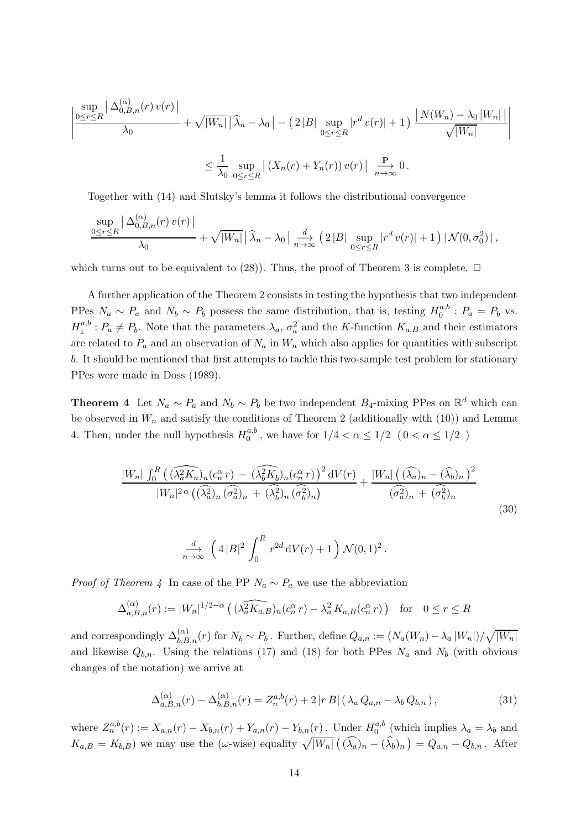$$
\left| \frac{\sup_{0 \le r \le R} \left| \Delta_{0,B,n}^{(\alpha)}(r) v(r) \right|}{\lambda_0} + \sqrt{|W_n|} \left| \widehat{\lambda}_n - \lambda_0 \right| - (2|B| \sup_{0 \le r \le R} |r^d v(r)| + 1) \frac{\left| N(W_n) - \lambda_0 \left| W_n \right| \right|}{\sqrt{|W_n|}} \right|
$$
  

$$
\le \frac{1}{\lambda_0} \sup_{0 \le r \le R} \left| \left( X_n(r) + Y_n(r) \right) v(r) \right| \xrightarrow[n \to \infty]{\mathbf{P}} 0.
$$

Together with (14) and Slutsky's lemma it follows the distributional convergence

 $0 \leq r \leq R$ 

$$
\frac{\sup_{0\leq r\leq R}|\Delta_{0,B,n}^{(\alpha)}(r) v(r)|}{\lambda_0} + \sqrt{|W_n|} |\widehat{\lambda}_n - \lambda_0| \underset{n\to\infty}{\overset{d}{\longrightarrow}} (2|B| \underset{0\leq r\leq R}{\sup} |r^d v(r)| + 1) |\mathcal{N}(0, \sigma_0^2)|,
$$

which turns out to be equivalent to (28)). Thus, the proof of Theorem 3 is complete.  $\Box$ 

A further application of the Theorem 2 consists in testing the hypothesis that two independent PPes  $N_a \sim P_a$  and  $N_b \sim P_b$  possess the same distribution, that is, testing  $H_0^{a,b}$  $_0^{a,b}$ :  $P_a = P_b$  vs.  $H^{a,b}_1$  $t_1^{a,b}: P_a \neq P_b$ . Note that the parameters  $\lambda_a$ ,  $\sigma_a^2$  and the K-function  $K_{a,B}$  and their estimators are related to  $P_a$  and an observation of  $N_a$  in  $W_n$  which also applies for quantities with subscript b. It should be mentioned that first attempts to tackle this two-sample test problem for stationary PPes were made in Doss (1989).

**Theorem 4** Let  $N_a \sim P_a$  and  $N_b \sim P_b$  be two independent  $B_4$ -mixing PPes on  $\mathbb{R}^d$  which can be observed in  $W_n$  and satisfy the conditions of Theorem 2 (additionally with (10)) and Lemma 4. Then, under the null hypothesis  $H_0^{a,b}$  $_{0}^{a,b}$ , we have for  $1/4 < \alpha \le 1/2$   $(0 < \alpha \le 1/2)$ 

$$
\frac{|W_n| \int_0^R \left( \widehat{(\lambda_a^2 K_a})_n (c_n^{\alpha} r) - (\widehat{\lambda_b^2 K_b})_n (c_n^{\alpha} r) \right)^2 dV(r)}{|W_n|^{2\alpha} \left( (\widehat{\lambda_a^2})_n (\widehat{\sigma_a^2})_n + (\widehat{\lambda_b^2})_n (\widehat{\sigma_b^2})_n \right)} + \frac{|W_n| \left( (\widehat{\lambda_a})_n - (\widehat{\lambda_b})_n \right)^2}{(\widehat{\sigma_a^2})_n + (\widehat{\sigma_b^2})_n}
$$
(30)

$$
\stackrel{d}{\longrightarrow}\left(4\,|B|^2\,\int_0^R\,r^{2d}\,\mathrm{d}V(r)+1\right)\,\mathcal{N}(0,1)^2\,.
$$

*Proof of Theorem 4* In case of the PP  $N_a \sim P_a$  we use the abbreviation

$$
\Delta_{a,B,n}^{(\alpha)}(r) := |W_n|^{1/2-\alpha} \left( (\widehat{\lambda_a^2 K_{a,B}})_n(c_n^{\alpha} r) - \lambda_a^2 K_{a,B}(c_n^{\alpha} r) \right) \text{ for } 0 \le r \le R
$$

and correspondingly  $\Delta_{b,B,n}^{(\alpha)}(r)$  for  $N_b \sim P_b$ . Further, define  $Q_{a,n} := (N_a(W_n) - \lambda_a |W_n|)/\sqrt{|W_n|}$ and likewise  $Q_{b,n}$ . Using the relations (17) and (18) for both PPes  $N_a$  and  $N_b$  (with obvious changes of the notation) we arrive at

$$
\Delta_{a,B,n}^{(\alpha)}(r) - \Delta_{b,B,n}^{(\alpha)}(r) = Z_n^{a,b}(r) + 2|rB| \left(\lambda_a Q_{a,n} - \lambda_b Q_{b,n}\right),\tag{31}
$$

where  $Z_n^{a,b}(r) := X_{a,n}(r) - X_{b,n}(r) + Y_{a,n}(r) - Y_{b,n}(r)$ . Under  $H_0^{a,b}$  $_0^{a,b}$  (which implies  $\lambda_a = \lambda_b$  and  $K_{a,B} = K_{b,B}$  we may use the ( $\omega$ -wise) equality  $\sqrt{|W_n|} ((\widehat{\lambda_a})_n - (\widehat{\lambda_b})_n) = Q_{a,n} - Q_{b,n}$ . After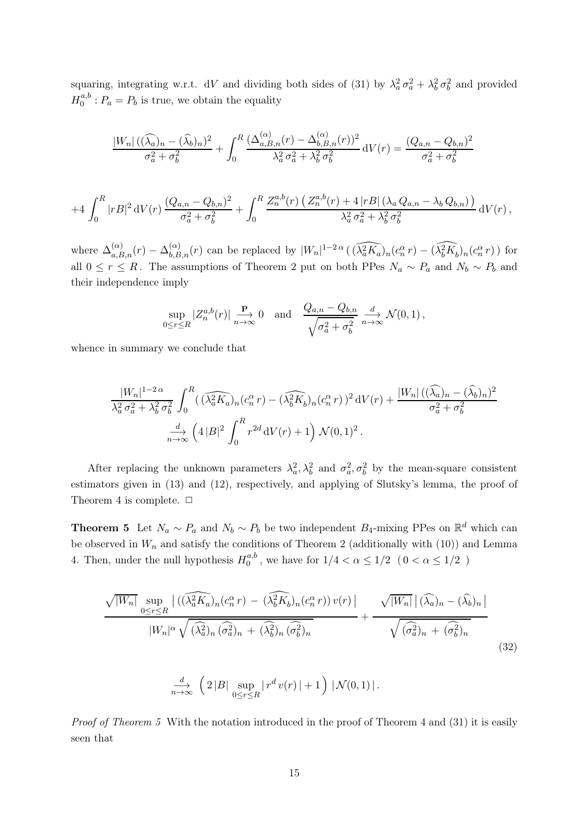squaring, integrating w.r.t. dV and dividing both sides of (31) by  $\lambda_a^2 \sigma_a^2 + \lambda_b^2 \sigma_b^2$  and provided  $H^{a,b}_0$  $\binom{a, b}{0}$ :  $P_a = P_b$  is true, we obtain the equality

$$
\frac{|W_n| \left( (\widehat{\lambda_a})_n - (\widehat{\lambda_b})_n \right)^2}{\sigma_a^2 + \sigma_b^2} + \int_0^R \frac{(\Delta_{a,B,n}^{(\alpha)}(r) - \Delta_{b,B,n}^{(\alpha)}(r))^2}{\lambda_a^2 \sigma_a^2 + \lambda_b^2 \sigma_b^2} dV(r) = \frac{(Q_{a,n} - Q_{b,n})^2}{\sigma_a^2 + \sigma_b^2}
$$

$$
+4\int_0^R |rB|^2 \, \mathrm{d}V(r) \, \frac{(Q_{a,n}-Q_{b,n})^2}{\sigma_a^2+\sigma_b^2} + \int_0^R \frac{Z_n^{a,b}(r) \left( \, Z_n^{a,b}(r) + 4 \, |rB| \left( \lambda_a \, Q_{a,n} - \lambda_b \, Q_{b,n} \right) \right)}{\lambda_a^2 \, \sigma_a^2 + \lambda_b^2 \, \sigma_b^2} \, \mathrm{d}V(r) \,,
$$

where  $\Delta_{a,B,n}^{(\alpha)}(r) - \Delta_{b,B,n}^{(\alpha)}(r)$  can be replaced by  $|W_n|^{1-2\alpha} \left( \widehat{\Lambda_a^2 K_a} \right)_n (c_n^{\alpha} r) - \widehat{\Lambda_b^2 K_b} \big) _n (c_n^{\alpha} r)$  for all  $0 \le r \le R$ . The assumptions of Theorem 2 put on both PPes  $N_a \sim P_a$  and  $N_b \sim P_b$  and their independence imply

$$
\sup_{0 \le r \le R} |Z_n^{a,b}(r)| \xrightarrow[n \to \infty]{\mathbf{P}} 0 \quad \text{and} \quad \frac{Q_{a,n} - Q_{b,n}}{\sqrt{\sigma_a^2 + \sigma_b^2}} \xrightarrow[n \to \infty]{d} \mathcal{N}(0,1),
$$

whence in summary we conclude that

$$
\frac{|W_n|^{1-2\alpha}}{\lambda_a^2 \sigma_a^2 + \lambda_b^2 \sigma_b^2} \int_0^R \left( \widehat{(\lambda_a^2 K_a)}_n(c_n^{\alpha} r) - (\widehat{\lambda_b^2 K_b})_n(c_n^{\alpha} r) \right)^2 dV(r) + \frac{|W_n| \left( (\widehat{\lambda_a})_n - (\widehat{\lambda_b})_n \right)^2}{\sigma_a^2 + \sigma_b^2}
$$
  

$$
\xrightarrow[n \to \infty]{d} \left( 4|B|^2 \int_0^R r^{2d} dV(r) + 1 \right) \mathcal{N}(0, 1)^2.
$$

After replacing the unknown parameters  $\lambda_a^2$ ,  $\lambda_b^2$  and  $\sigma_a^2$ ,  $\sigma_b^2$  by the mean-square consistent estimators given in (13) and (12), respectively, and applying of Slutsky's lemma, the proof of Theorem 4 is complete.  $\Box$ 

**Theorem 5** Let  $N_a \sim P_a$  and  $N_b \sim P_b$  be two independent  $B_4$ -mixing PPes on  $\mathbb{R}^d$  which can be observed in  $W_n$  and satisfy the conditions of Theorem 2 (additionally with (10)) and Lemma 4. Then, under the null hypothesis  $H_0^{a,b}$  $_{0}^{a,b}$ , we have for  $1/4 < \alpha \le 1/2$   $(0 < \alpha \le 1/2)$ 

$$
\frac{\sqrt{|W_n|} \sup_{0 \le r \le R} |((\widehat{\lambda_a^2 K_a})_n (c_n^{\alpha} r) - (\widehat{\lambda_b^2 K_b})_n (c_n^{\alpha} r)) v(r)|}{|W_n|^{\alpha} \sqrt{(\widehat{\lambda_a^2})_n (\widehat{\sigma_a^2})_n + (\widehat{\lambda_b^2})_n (\widehat{\sigma_b^2})_n}} + \frac{\sqrt{|W_n|} |(\widehat{\lambda_a})_n - (\widehat{\lambda_b})_n |}{\sqrt{(\widehat{\sigma_a^2})_n + (\widehat{\sigma_b^2})_n}}
$$
(32)

$$
\frac{d}{n\to\infty}\left(2\left|B\right|\left|\sup_{0\leq r\leq R}\left|r^d\,v(r)\right|+1\right)\left|\mathcal{N}(0,1)\right|.
$$

Proof of Theorem 5 With the notation introduced in the proof of Theorem 4 and (31) it is easily seen that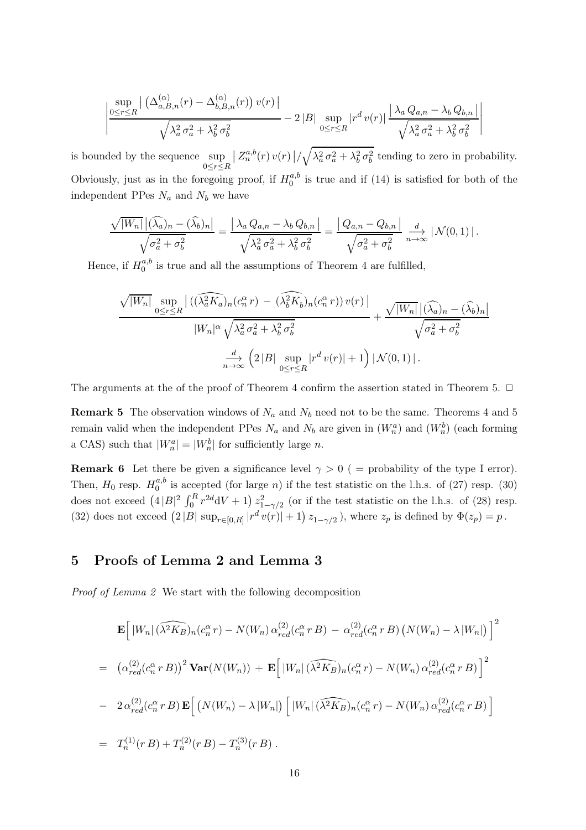$$
\left| \frac{\sup\limits_{0 \leq r \leq R} \left| \left( \Delta_{a,B,n}^{(\alpha)}(r) - \Delta_{b,B,n}^{(\alpha)}(r) \right) v(r) \right|}{\sqrt{\lambda_a^2 \sigma_a^2 + \lambda_b^2 \sigma_b^2}} - 2 |B| \sup\limits_{0 \leq r \leq R} \left| r^d v(r) \right| \frac{\left| \lambda_a Q_{a,n} - \lambda_b Q_{b,n} \right|}{\sqrt{\lambda_a^2 \sigma_a^2 + \lambda_b^2 \sigma_b^2}} \right|
$$

is bounded by the sequence sup  $0 \leq r \leq R$  $\left| Z_{n}^{a,b}(r) v(r) \right| / \sqrt{\lambda_{a}^{2} \sigma_{a}^{2} + \lambda_{b}^{2} \sigma_{b}^{2}}$  tending to zero in probability. Obviously, just as in the foregoing proof, if  $H_0^{a,b}$  $\binom{a, b}{0}$  is true and if (14) is satisfied for both of the independent PPes  $N_a$  and  $N_b$  we have

$$
\frac{\sqrt{|W_n|} |(\widehat{\lambda_a})_n - (\widehat{\lambda_b})_n|}{\sqrt{\sigma_a^2 + \sigma_b^2}} = \frac{|\lambda_a Q_{a,n} - \lambda_b Q_{b,n}|}{\sqrt{\lambda_a^2 \sigma_a^2 + \lambda_b^2 \sigma_b^2}} = \frac{|Q_{a,n} - Q_{b,n}|}{\sqrt{\sigma_a^2 + \sigma_b^2}} \xrightarrow[n \to \infty]{d} \mathcal{N}(0,1) |.
$$

Hence, if  $H_0^{a,b}$  $_{0}^{a,b}$  is true and all the assumptions of Theorem 4 are fulfilled,

$$
\frac{\sqrt{|W_n|} \sup_{0 \le r \le R} |((\widehat{\lambda_a^2 K_a})_n (c_n^{\alpha} r) - (\widehat{\lambda_b^2 K_b})_n (c_n^{\alpha} r)) v(r)| + \frac{\sqrt{|W_n|} |(\widehat{\lambda_a})_n - (\widehat{\lambda_b})_n|}{|W_n|^{\alpha} \sqrt{\lambda_a^2 \sigma_a^2 + \lambda_b^2 \sigma_b^2}} + \frac{\sqrt{|W_n|} |(\widehat{\lambda_a})_n - (\widehat{\lambda_b})_n|}{\sqrt{\sigma_a^2 + \sigma_b^2}}
$$

$$
\frac{d}{n \to \infty} \left(2 |B| \sup_{0 \le r \le R} |r^d v(r)| + 1\right) |\mathcal{N}(0, 1)|.
$$

The arguments at the of the proof of Theorem 4 confirm the assertion stated in Theorem 5.  $\Box$ 

**Remark 5** The observation windows of  $N_a$  and  $N_b$  need not to be the same. Theorems 4 and 5 remain valid when the independent PPes  $N_a$  and  $N_b$  are given in  $(W_n^a)$  and  $(W_n^b)$  (each forming a CAS) such that  $|W_n^a| = |W_n^b|$  for sufficiently large *n*.

**Remark 6** Let there be given a significance level  $\gamma > 0$  ( = probability of the type I error). Then,  $H_0$  resp.  $H_0^{a,b}$  $_{0}^{a,b}$  is accepted (for large *n*) if the test statistic on the l.h.s. of (27) resp. (30) does not exceed  $(4|B|^2 \int_0^R r^{2d} dV + 1) z_{1-\gamma/2}^2$  (or if the test statistic on the l.h.s. of (28) resp. (32) does not exceed  $(2|B| \sup_{r \in [0,R]} |r^d v(r)| + 1) z_{1-\gamma/2}$ , where  $z_p$  is defined by  $\Phi(z_p) = p$ .

## 5 Proofs of Lemma 2 and Lemma 3

Proof of Lemma 2 We start with the following decomposition

$$
\mathbf{E} \Big[ \left| W_n \right| (\widehat{\lambda^2 K_B})_n(c_n^{\alpha} r) - N(W_n) \alpha_{red}^{(2)}(c_n^{\alpha} r B) - \alpha_{red}^{(2)}(c_n^{\alpha} r B) \left( N(W_n) - \lambda \left| W_n \right| \right) \Big]^2
$$
\n
$$
= (\alpha_{red}^{(2)}(c_n^{\alpha} r B))^2 \mathbf{Var}(N(W_n)) + \mathbf{E} \Big[ \left| W_n \right| (\widehat{\lambda^2 K_B})_n(c_n^{\alpha} r) - N(W_n) \alpha_{red}^{(2)}(c_n^{\alpha} r B) \Big]^2
$$
\n
$$
- 2 \alpha_{red}^{(2)}(c_n^{\alpha} r B) \mathbf{E} \Big[ \left( N(W_n) - \lambda \left| W_n \right| \right) \Big[ \left| W_n \right| (\widehat{\lambda^2 K_B})_n(c_n^{\alpha} r) - N(W_n) \alpha_{red}^{(2)}(c_n^{\alpha} r B) \Big]
$$
\n
$$
= T_n^{(1)}(r B) + T_n^{(2)}(r B) - T_n^{(3)}(r B) .
$$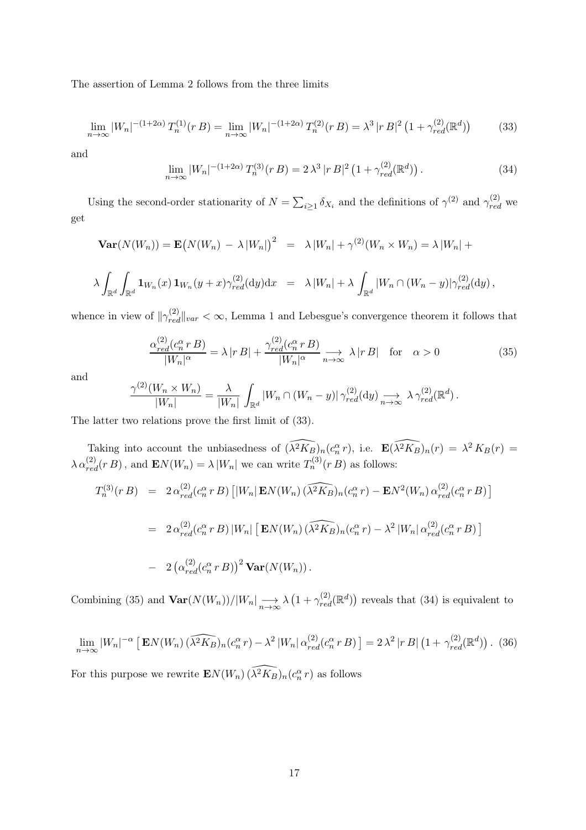The assertion of Lemma 2 follows from the three limits

$$
\lim_{n \to \infty} |W_n|^{-(1+2\alpha)} T_n^{(1)}(rB) = \lim_{n \to \infty} |W_n|^{-(1+2\alpha)} T_n^{(2)}(rB) = \lambda^3 |rB|^2 \left(1 + \gamma_{red}^{(2)}(\mathbb{R}^d)\right) \tag{33}
$$

and

$$
\lim_{n \to \infty} |W_n|^{-(1+2\alpha)} T_n^{(3)}(rB) = 2\lambda^3 |rB|^2 \left(1 + \gamma_{red}^{(2)}(\mathbb{R}^d)\right). \tag{34}
$$

Using the second-order stationarity of  $N = \sum_{i \geq 1} \delta_{X_i}$  and the definitions of  $\gamma^{(2)}$  and  $\gamma_{red}^{(2)}$  we get

$$
\mathbf{Var}(N(W_n)) = \mathbf{E}\big(N(W_n) - \lambda |W_n|\big)^2 = \lambda |W_n| + \gamma^{(2)}(W_n \times W_n) = \lambda |W_n| +
$$
  

$$
\lambda \int_{\mathbb{R}^d} \int_{\mathbb{R}^d} \mathbf{1}_{W_n}(x) \mathbf{1}_{W_n}(y+x) \gamma_{red}^{(2)}(\mathrm{d}y) \mathrm{d}x = \lambda |W_n| + \lambda \int_{\mathbb{R}^d} |W_n \cap (W_n - y)| \gamma_{red}^{(2)}(\mathrm{d}y),
$$

whence in view of  $\|\gamma_{red}^{(2)}\|_{var} < \infty$ , Lemma 1 and Lebesgue's convergence theorem it follows that

$$
\frac{\alpha_{red}^{(2)}(c_n^{\alpha} \, r \, B)}{|W_n|^{\alpha}} = \lambda \, |r \, B| + \frac{\gamma_{red}^{(2)}(c_n^{\alpha} \, r \, B)}{|W_n|^{\alpha}} \underset{n \to \infty}{\longrightarrow} \lambda \, |r \, B| \quad \text{for} \quad \alpha > 0 \tag{35}
$$

and

$$
\frac{\gamma^{(2)}(W_n \times W_n)}{|W_n|} = \frac{\lambda}{|W_n|} \int_{\mathbb{R}^d} |W_n \cap (W_n - y)| \, \gamma_{red}^{(2)}(\text{d}y) \underset{n \to \infty}{\longrightarrow} \lambda \, \gamma_{red}^{(2)}(\mathbb{R}^d) \, .
$$

The latter two relations prove the first limit of (33).

Taking into account the unbiasedness of  $(\widehat{\lambda^2 K_B})_n(c_n^{\alpha} r)$ , i.e.  $\mathbf{E}(\widehat{\lambda^2 K_B})_n(r) = \lambda^2 K_B(r)$  $\lambda \alpha_{red}^{(2)}(rB)$ , and  $\mathbf{E}N(W_n) = \lambda |W_n|$  we can write  $T_n^{(3)}(rB)$  as follows:

$$
T_n^{(3)}(r\,B) = 2\,\alpha_{red}^{(2)}(c_n^{\alpha}r\,B) \left[|W_n|\,\mathbf{E}N(W_n)\,\widehat{(\lambda^2 K_B)_n}(c_n^{\alpha}r) - \mathbf{E}N^2(W_n)\,\alpha_{red}^{(2)}(c_n^{\alpha}r\,B)\right]
$$
  
=  $2\,\alpha_{red}^{(2)}(c_n^{\alpha}r\,B)\,|W_n|\left[\,\mathbf{E}N(W_n)\,\widehat{(\lambda^2 K_B)_n}(c_n^{\alpha}r) - \lambda^2\,|W_n|\,\alpha_{red}^{(2)}(c_n^{\alpha}r\,B)\,\right]$   
-  $2\,\big(\alpha_{red}^{(2)}(c_n^{\alpha}r\,B)\big)^2\,\mathbf{Var}(N(W_n)).$ 

Combining (35) and  $\text{Var}(N(W_n))/|W_n| \longrightarrow \infty \lambda (1 + \gamma_{red}^{(2)}(\mathbb{R}^d))$  reveals that (34) is equivalent to

$$
\lim_{n \to \infty} |W_n|^{-\alpha} \left[ \mathbf{E} N(W_n) \left( \widehat{\lambda^2 K_B} \right)_n (c_n^{\alpha} r) - \lambda^2 |W_n| \alpha_{red}^{(2)}(c_n^{\alpha} r B) \right] = 2 \lambda^2 |r B| \left( 1 + \gamma_{red}^{(2)}(\mathbb{R}^d) \right). \tag{36}
$$
  
For this purpose we rewrite  $\mathbf{E} N(W_n) \left( \widehat{\lambda^2 K_B} \right)_n (c_n^{\alpha} r)$  as follows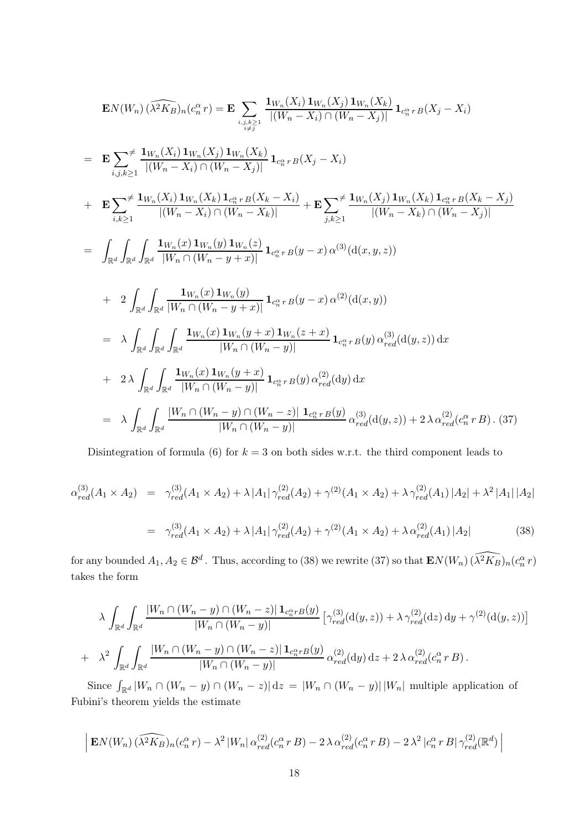$$
\mathbf{E}N(W_{n})\left(\widehat{\lambda^{2}K_{B}}\right)_{n}(c_{n}^{\alpha}r) = \mathbf{E} \sum_{i,j,k \geq 1} \frac{\mathbf{1}_{W_{n}}(X_{i}) \mathbf{1}_{W_{n}}(X_{j}) \mathbf{1}_{W_{n}}(X_{k})}{|(W_{n}-X_{i}) \cap (W_{n}-X_{j})|} \mathbf{1}_{c_{n}^{\alpha}rB}(X_{j}-X_{i})
$$
\n
$$
= \mathbf{E} \sum_{i,j,k \geq 1} \frac{\mathbf{1}_{W_{n}}(X_{i}) \mathbf{1}_{W_{n}}(X_{j}) \mathbf{1}_{W_{n}}(X_{k})}{|(W_{n}-X_{i}) \cap (W_{n}-X_{j})|} \mathbf{1}_{c_{n}^{\alpha}rB}(X_{j}-X_{i})
$$
\n
$$
+ \mathbf{E} \sum_{i,k \geq 1} \frac{\mathbf{1}_{W_{n}}(X_{i}) \mathbf{1}_{W_{n}}(X_{k}) \mathbf{1}_{c_{n}^{\alpha}rB}(X_{k}-X_{i})}{|(W_{n}-X_{i}) \cap (W_{n}-X_{k})|} + \mathbf{E} \sum_{j,k \geq 1} \frac{\mathbf{1}_{W_{n}}(X_{j}) \mathbf{1}_{W_{n}}(X_{k}) \mathbf{1}_{c_{n}^{\alpha}rB}(X_{k}-X_{j})}{|(W_{n}-X_{k}) \cap (W_{n}-X_{j})|}
$$
\n
$$
= \int_{\mathbb{R}^{d}} \int_{\mathbb{R}^{d}} \frac{\mathbf{1}_{W_{n}}(x) \mathbf{1}_{W_{n}}(y) \mathbf{1}_{W_{n}}(z)}{|W_{n} \cap (W_{n}-y+x)|} \mathbf{1}_{c_{n}^{\alpha}rB}(y-x) \alpha^{(3)}(\mathbf{d}(x,y,z))
$$
\n
$$
+ 2 \int_{\mathbb{R}^{d}} \int_{\mathbb{R}^{d}} \frac{\mathbf{1}_{W_{n}}(x) \mathbf{1}_{W_{n}}(y)}{|W_{n} \cap (W_{n}-y+x)|} \mathbf{1}_{c_{n}^{\alpha}rB}(y-x) \alpha^{(2)}(\mathbf{d}(x,y))
$$
\n
$$
= \lambda \int_{\mathbb{R}^{d}} \int_{\mathbb{
$$

Disintegration of formula (6) for  $k = 3$  on both sides w.r.t. the third component leads to

$$
\alpha_{red}^{(3)}(A_1 \times A_2) = \gamma_{red}^{(3)}(A_1 \times A_2) + \lambda |A_1| \gamma_{red}^{(2)}(A_2) + \gamma^{(2)}(A_1 \times A_2) + \lambda \gamma_{red}^{(2)}(A_1) |A_2| + \lambda^2 |A_1| |A_2|
$$
  

$$
= \gamma_{red}^{(3)}(A_1 \times A_2) + \lambda |A_1| \gamma_{red}^{(2)}(A_2) + \gamma^{(2)}(A_1 \times A_2) + \lambda \alpha_{red}^{(2)}(A_1) |A_2|
$$
(38)

for any bounded  $A_1, A_2 \in \mathcal{B}^d$ . Thus, according to (38) we rewrite (37) so that  $\mathbf{E} N(W_n)$   $(\widehat{\lambda^2 K_B})_n(c_n^{\alpha} r)$ takes the form

$$
\lambda \int_{\mathbb{R}^d} \int_{\mathbb{R}^d} \frac{|W_n \cap (W_n - y) \cap (W_n - z)| \mathbf{1}_{c_n^{\alpha} r} B(y)}{|W_n \cap (W_n - y)|} \left[ \gamma_{red}^{(3)}(\mathbf{d}(y, z)) + \lambda \gamma_{red}^{(2)}(\mathbf{d}z) \mathbf{d}y + \gamma^{(2)}(\mathbf{d}(y, z)) \right]
$$
  
+ 
$$
\lambda^2 \int_{\mathbb{R}^d} \int_{\mathbb{R}^d} \frac{|W_n \cap (W_n - y) \cap (W_n - z)| \mathbf{1}_{c_n^{\alpha} r} B(y)}{|W_n \cap (W_n - y)|} \alpha_{red}^{(2)}(\mathbf{d}y) \mathbf{d}z + 2 \lambda \alpha_{red}^{(2)}(c_n^{\alpha} r B).
$$

Since  $\int_{\mathbb{R}^d} |W_n \cap (W_n - y) \cap (W_n - z)| \,dz = |W_n \cap (W_n - y)| |W_n|$  multiple application of Fubini's theorem yields the estimate

$$
\left| \mathbf{E} N(W_n) \left( \widehat{\lambda^2 K_B} \right)_n (c_n^{\alpha} r) - \lambda^2 |W_n| \alpha_{red}^{(2)}(c_n^{\alpha} r B) - 2 \lambda \alpha_{red}^{(2)}(c_n^{\alpha} r B) - 2 \lambda^2 |c_n^{\alpha} r B| \gamma_{red}^{(2)}(\mathbb{R}^d) \right|
$$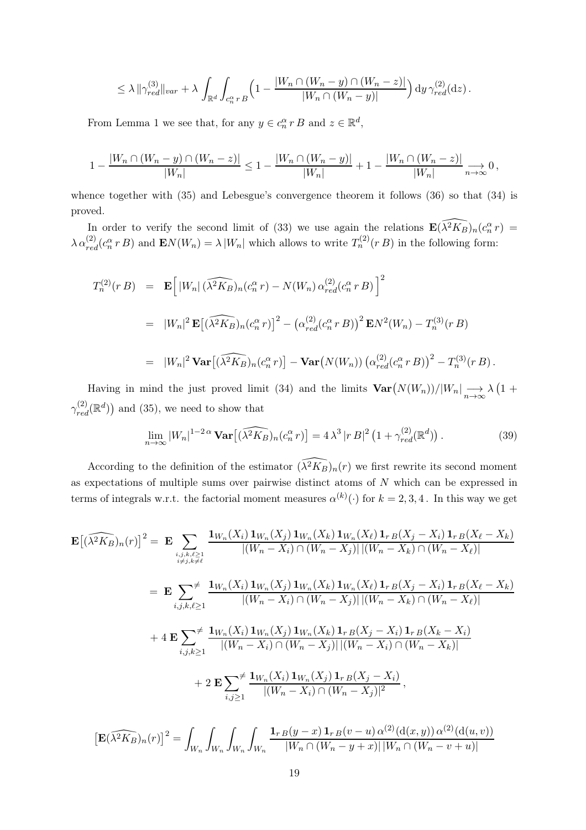$$
\leq \lambda \|\gamma_{red}^{(3)}\|_{var} + \lambda \int_{\mathbb{R}^d} \int_{c_n^{\alpha} r B} \left(1 - \frac{|W_n \cap (W_n - y) \cap (W_n - z)|}{|W_n \cap (W_n - y)|}\right) dy \gamma_{red}^{(2)}(dz).
$$

From Lemma 1 we see that, for any  $y \in c_n^{\alpha} r B$  and  $z \in \mathbb{R}^d$ ,

$$
1 - \frac{|W_n \cap (W_n - y) \cap (W_n - z)|}{|W_n|} \le 1 - \frac{|W_n \cap (W_n - y)|}{|W_n|} + 1 - \frac{|W_n \cap (W_n - z)|}{|W_n|} \underset{n \to \infty}{\longrightarrow} 0,
$$

whence together with (35) and Lebesgue's convergence theorem it follows (36) so that (34) is proved.

In order to verify the second limit of (33) we use again the relations  $\mathbf{E}(\widehat{\lambda^2 K_B})_n(c_n^{\alpha} r) =$  $\lambda \alpha_{red}^{(2)}(c_n^{\alpha} r B)$  and  $\mathbf{E} N(W_n) = \lambda |W_n|$  which allows to write  $T_n^{(2)}(r B)$  in the following form:

$$
T_n^{(2)}(r\,B) = \mathbf{E} \Big[ |W_n| \left( \widehat{\lambda^2 K_B} \right)_n (c_n^{\alpha} r) - N(W_n) \alpha_{red}^{(2)} (c_n^{\alpha} r \, B) \Big]^2
$$
  
\n
$$
= |W_n|^2 \mathbf{E} \Big[ (\widehat{\lambda^2 K_B})_n (c_n^{\alpha} r) \Big]^2 - \left( \alpha_{red}^{(2)} (c_n^{\alpha} r \, B) \right)^2 \mathbf{E} N^2 (W_n) - T_n^{(3)} (r \, B)
$$
  
\n
$$
= |W_n|^2 \mathbf{Var} \Big[ (\widehat{\lambda^2 K_B})_n (c_n^{\alpha} r) \Big] - \mathbf{Var} \big( N(W_n) \big) \left( \alpha_{red}^{(2)} (c_n^{\alpha} r \, B) \right)^2 - T_n^{(3)} (r \, B).
$$

Having in mind the just proved limit (34) and the limits  $\text{Var}(N(W_n))/|W_n| \longrightarrow \infty \lambda (1 +$  $\gamma_{red}^{(2)}(\mathbb{R}^d)$  and (35), we need to show that

$$
\lim_{n \to \infty} |W_n|^{1-2\alpha} \operatorname{Var}\left[ (\widehat{\lambda^2 K_B})_n (c_n^{\alpha} r) \right] = 4\lambda^3 |r B|^2 \left( 1 + \gamma_{red}^{(2)}(\mathbb{R}^d) \right). \tag{39}
$$

According to the definition of the estimator  $(\widehat{\lambda^2 K_B})_n(r)$  we first rewrite its second moment as expectations of multiple sums over pairwise distinct atoms of N which can be expressed in terms of integrals w.r.t. the factorial moment measures  $\alpha^{(k)}(\cdot)$  for  $k = 2, 3, 4$ . In this way we get

$$
\mathbf{E}\left[\left(\widehat{\lambda^{2}K_{B}}\right)_{n}(r)\right]^{2} = \mathbf{E}\sum_{\substack{i,j,k,\ell \geq 1 \\ i \neq j,k \neq \ell}}\frac{\mathbf{1}_{W_{n}}(X_{i})\mathbf{1}_{W_{n}}(X_{j})\mathbf{1}_{W_{n}}(X_{k})\mathbf{1}_{W_{n}}(X_{\ell})\mathbf{1}_{rB}(X_{j}-X_{i})\mathbf{1}_{rB}(X_{\ell}-X_{k})}{|(W_{n}-X_{i})\cap(W_{n}-X_{j})||(W_{n}-X_{k})\cap(W_{n}-X_{\ell})|}
$$
\n
$$
= \mathbf{E}\sum_{i,j,k,\ell \geq 1} \frac{\mathbf{1}_{W_{n}}(X_{i})\mathbf{1}_{W_{n}}(X_{j})\mathbf{1}_{W_{n}}(X_{k})\mathbf{1}_{W_{n}}(X_{\ell})\mathbf{1}_{rB}(X_{j}-X_{i})\mathbf{1}_{rB}(X_{\ell}-X_{k})}{|(W_{n}-X_{i})\cap(W_{n}-X_{j})||(W_{n}-X_{k})\cap(W_{n}-X_{\ell})|}
$$
\n
$$
+ 4\mathbf{E}\sum_{i,j,k \geq 1} \frac{\mathbf{1}_{W_{n}}(X_{i})\mathbf{1}_{W_{n}}(X_{j})\mathbf{1}_{W_{n}}(X_{k})\mathbf{1}_{rB}(X_{j}-X_{i})\mathbf{1}_{rB}(X_{k}-X_{i})}{|(W_{n}-X_{i})\cap(W_{n}-X_{j})||(W_{n}-X_{i})\cap(W_{n}-X_{k})|}
$$
\n
$$
+ 2\mathbf{E}\sum_{i,j \geq 1} \frac{\mathbf{1}_{W_{n}}(X_{i})\mathbf{1}_{W_{n}}(X_{j})\mathbf{1}_{rB}(X_{j}-X_{i})}{|(W_{n}-X_{i})\cap(W_{n}-X_{j})|^{2}},
$$

$$
\left[\mathbf{E}(\widehat{\lambda^2 K_B})_n(r)\right]^2 = \int_{W_n} \int_{W_n} \int_{W_n} \int_{W_n} \frac{\mathbf{1}_{r, B}(y-x) \mathbf{1}_{r, B}(v-u) \alpha^{(2)}(\mathrm{d}(x, y)) \alpha^{(2)}(\mathrm{d}(u, v))}{|W_n \cap (W_n - y + x)| \, |W_n \cap (W_n - v + u)|}
$$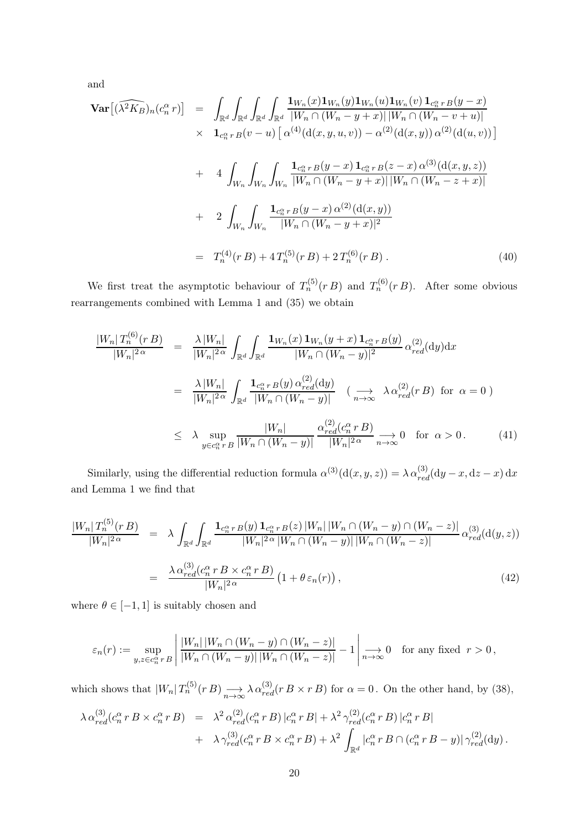and

$$
\mathbf{Var}\left[(\widehat{\lambda^{2}K_{B}})_{n}(c_{n}^{\alpha} r)\right] = \int_{\mathbb{R}^{d}} \int_{\mathbb{R}^{d}} \int_{\mathbb{R}^{d}} \frac{\mathbf{1}_{W_{n}}(x) \mathbf{1}_{W_{n}}(y) \mathbf{1}_{W_{n}}(u) \mathbf{1}_{W_{n}}(v) \mathbf{1}_{c_{n}^{\alpha} rB}(y-x)}{\left|W_{n} \cap (W_{n} - y + x)\right| \left|W_{n} \cap (W_{n} - v + u)\right|}
$$
  
\n
$$
\times \mathbf{1}_{c_{n}^{\alpha} rB}(v-u) \left[\alpha^{(4)}(\mathbf{d}(x,y,u,v)) - \alpha^{(2)}(\mathbf{d}(x,y)) \alpha^{(2)}(\mathbf{d}(u,v))\right]
$$
  
\n
$$
+ 4 \int_{W_{n}} \int_{W_{n}} \int_{W_{n}} \frac{\mathbf{1}_{c_{n}^{\alpha} rB}(y-x) \mathbf{1}_{c_{n}^{\alpha} rB}(z-x) \alpha^{(3)}(\mathbf{d}(x,y,z))}{\left|W_{n} \cap (W_{n} - y + x)\right| \left|W_{n} \cap (W_{n} - z + x)\right|}
$$
  
\n
$$
+ 2 \int_{W_{n}} \int_{W_{n}} \frac{\mathbf{1}_{c_{n}^{\alpha} rB}(y-x) \alpha^{(2)}(\mathbf{d}(x,y))}{\left|W_{n} \cap (W_{n} - y + x)\right|^{2}}
$$
  
\n
$$
= T_{n}^{(4)}(rB) + 4 T_{n}^{(5)}(rB) + 2 T_{n}^{(6)}(rB). \tag{40}
$$

We first treat the asymptotic behaviour of  $T_n^{(5)}(r B)$  and  $T_n^{(6)}(r B)$ . After some obvious rearrangements combined with Lemma 1 and (35) we obtain

$$
\frac{|W_n| T_n^{(6)}(rB)}{|W_n|^{2\alpha}} = \frac{\lambda |W_n|}{|W_n|^{2\alpha}} \int_{\mathbb{R}^d} \int_{\mathbb{R}^d} \frac{\mathbf{1}_{W_n}(x) \mathbf{1}_{W_n}(y+x) \mathbf{1}_{c_n^{\alpha} rB}(y)}{|W_n \cap (W_n - y)|^2} \alpha_{red}^{(2)}(\mathrm{d}y) \mathrm{d}x
$$

$$
= \frac{\lambda |W_n|}{|W_n|^{2\alpha}} \int_{\mathbb{R}^d} \frac{\mathbf{1}_{c_n^{\alpha} rB}(y) \alpha_{red}^{(2)}(\mathrm{d}y)}{|W_n \cap (W_n - y)|} \quad (\underset{n \to \infty}{\longrightarrow} \lambda \alpha_{red}^{(2)}(rB) \text{ for } \alpha = 0)
$$

$$
\leq \lambda \sup_{y \in c_n^{\alpha} rB} \frac{|W_n|}{|W_n \cap (W_n - y)|} \frac{\alpha_{red}^{(2)}(c_n^{\alpha} rB)}{|W_n|^{2\alpha}} \underset{n \to \infty}{\longrightarrow} 0 \quad \text{for } \alpha > 0. \tag{41}
$$

Similarly, using the differential reduction formula  $\alpha^{(3)}(\text{d}(x, y, z)) = \lambda \alpha_{red}^{(3)}(\text{d}y - x, \text{d}z - x) \text{d}x$ and Lemma 1 we find that

$$
\frac{|W_n| T_n^{(5)}(r B)}{|W_n|^{2\alpha}} = \lambda \int_{\mathbb{R}^d} \int_{\mathbb{R}^d} \frac{\mathbf{1}_{c_n^{\alpha} r B}(y) \mathbf{1}_{c_n^{\alpha} r B}(z) |W_n| |W_n \cap (W_n - y) \cap (W_n - z)|}{|W_n|^{2\alpha} |W_n \cap (W_n - y)| |W_n \cap (W_n - z)|} \alpha_{red}^{(3)}(\mathrm{d}(y, z))
$$

$$
= \frac{\lambda \alpha_{red}^{(3)}(c_n^{\alpha} r B \times c_n^{\alpha} r B)}{|W_n|^{2\alpha}} \left(1 + \theta \varepsilon_n(r)\right), \tag{42}
$$

where  $\theta \in [-1,1]$  is suitably chosen and

$$
\varepsilon_n(r) := \sup_{y,z \in c_n^{\alpha} r} \left| \frac{|W_n| \, |W_n \cap (W_n - y) \cap (W_n - z)|}{|W_n \cap (W_n - y)| \, |W_n \cap (W_n - z)|} - 1 \right| \underset{n \to \infty}{\longrightarrow} 0 \quad \text{for any fixed } r > 0,
$$

which shows that  $|W_n|T_n^{(5)}(rB) \longrightarrow_{n \to \infty} \lambda \alpha_{red}^{(3)}(rB \times rB)$  for  $\alpha = 0$ . On the other hand, by (38),

$$
\lambda \alpha_{red}^{(3)}(c_n^{\alpha} r B \times c_n^{\alpha} r B) = \lambda^2 \alpha_{red}^{(2)}(c_n^{\alpha} r B) |c_n^{\alpha} r B| + \lambda^2 \gamma_{red}^{(2)}(c_n^{\alpha} r B) |c_n^{\alpha} r B| + \lambda \gamma_{red}^{(3)}(c_n^{\alpha} r B \times c_n^{\alpha} r B) + \lambda^2 \int_{\mathbb{R}^d} |c_n^{\alpha} r B \cap (c_n^{\alpha} r B - y)| \gamma_{red}^{(2)}(\mathrm{d}y).
$$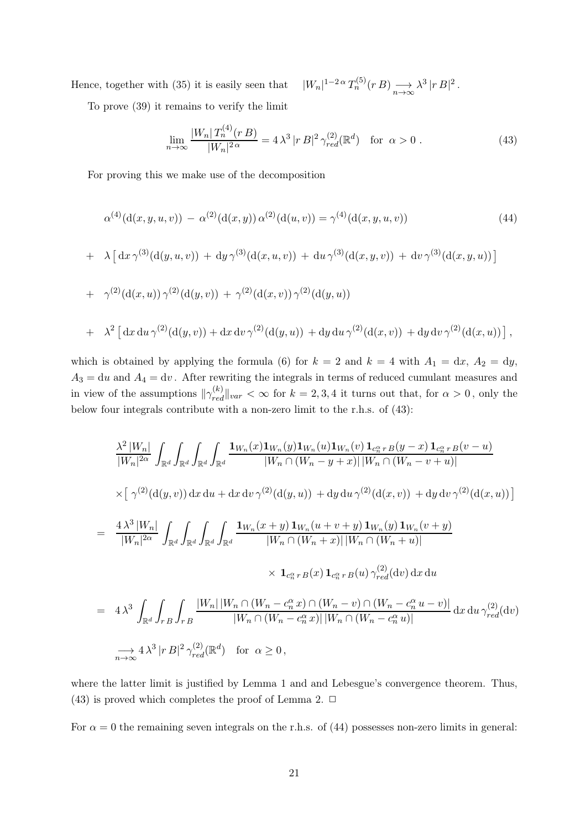Hence, together with  $(35)$  it is easily seen that  $1-2\alpha T_n^{(5)}(r B) \longrightarrow_{n\to\infty} \lambda^3 |r B|^2.$ 

To prove (39) it remains to verify the limit

$$
\lim_{n \to \infty} \frac{|W_n| T_n^{(4)}(rB)}{|W_n|^{2\alpha}} = 4\lambda^3 |rB|^2 \gamma_{red}^{(2)}(\mathbb{R}^d) \text{ for } \alpha > 0.
$$
 (43)

For proving this we make use of the decomposition

$$
\alpha^{(4)}(\mathbf{d}(x, y, u, v)) - \alpha^{(2)}(\mathbf{d}(x, y)) \alpha^{(2)}(\mathbf{d}(u, v)) = \gamma^{(4)}(\mathbf{d}(x, y, u, v))
$$
\n(44)

+ 
$$
\lambda \left[ dx \gamma^{(3)}(d(y, u, v)) + dy \gamma^{(3)}(d(x, u, v)) + du \gamma^{(3)}(d(x, y, v)) + dv \gamma^{(3)}(d(x, y, u)) \right]
$$

+ 
$$
\gamma^{(2)}(\mathrm{d}(x, u))\gamma^{(2)}(\mathrm{d}(y, v)) + \gamma^{(2)}(\mathrm{d}(x, v))\gamma^{(2)}(\mathrm{d}(y, u))
$$

+ 
$$
\lambda^2 \left[ dx du \gamma^{(2)}(d(y, v)) + dx dv \gamma^{(2)}(d(y, u)) + dy du \gamma^{(2)}(d(x, v)) + dy dv \gamma^{(2)}(d(x, u)) \right],
$$

which is obtained by applying the formula (6) for  $k = 2$  and  $k = 4$  with  $A_1 = dx$ ,  $A_2 = dy$ ,  $A_3 = du$  and  $A_4 = dv$ . After rewriting the integrals in terms of reduced cumulant measures and in view of the assumptions  $\|\gamma_{red}^{(k)}\|_{var} < \infty$  for  $k = 2, 3, 4$  it turns out that, for  $\alpha > 0$ , only the below four integrals contribute with a non-zero limit to the r.h.s. of (43):

$$
\frac{\lambda^{2} |W_{n}|}{|W_{n}|^{2\alpha}} \int_{\mathbb{R}^{d}} \int_{\mathbb{R}^{d}} \int_{\mathbb{R}^{d}} \frac{\mathbf{1}_{W_{n}}(x) \mathbf{1}_{W_{n}}(y) \mathbf{1}_{W_{n}}(u) \mathbf{1}_{W_{n}}(v) \mathbf{1}_{c_{n}^{\alpha} r} B(y-x) \mathbf{1}_{c_{n}^{\alpha} r} B(v-u)}{|W_{n} \cap (W_{n} - y + x)| |W_{n} \cap (W_{n} - v + u)|}
$$
  
\n
$$
\times [\gamma^{(2)}(\mathbf{d}(y, v)) \mathbf{d}x \mathbf{d}u + \mathbf{d}x \mathbf{d}v \gamma^{(2)}(\mathbf{d}(y, u)) + \mathbf{d}y \mathbf{d}u \gamma^{(2)}(\mathbf{d}(x, v)) + \mathbf{d}y \mathbf{d}v \gamma^{(2)}(\mathbf{d}(x, u))]
$$
  
\n
$$
= \frac{4 \lambda^{3} |W_{n}|}{|W_{n}|^{2\alpha}} \int_{\mathbb{R}^{d}} \int_{\mathbb{R}^{d}} \int_{\mathbb{R}^{d}} \frac{\mathbf{1}_{W_{n}}(x+y) \mathbf{1}_{W_{n}}(u+v+y) \mathbf{1}_{W_{n}}(y) \mathbf{1}_{W_{n}}(v+y)}{|W_{n} \cap (W_{n} + u)|}
$$
  
\n
$$
\times \mathbf{1}_{c_{n}^{\alpha} r} B(x) \mathbf{1}_{c_{n}^{\alpha} r} B(u) \gamma_{red}^{(2)}(\mathbf{d}v) \mathbf{d}x \mathbf{d}u
$$
  
\n
$$
= 4 \lambda^{3} \int_{\mathbb{R}^{d}} \int_{r} \int_{r} \int_{r} \frac{|W_{n}| |W_{n} \cap (W_{n} - c_{n}^{\alpha} x) \cap (W_{n} - v) \cap (W_{n} - c_{n}^{\alpha} u - v)|}{|W_{n} \cap (W_{n} - c_{n}^{\alpha} u)| |W_{n} \cap (W_{n} - c_{n}^{\alpha} u)|} dx \mathbf{d}u \gamma_{red}^{(2)}(\mathbf{d}v)
$$
  
\n
$$
\xrightarrow{n \to \infty} 4 \lambda^{3}
$$

where the latter limit is justified by Lemma 1 and and Lebesgue's convergence theorem. Thus, (43) is proved which completes the proof of Lemma 2.  $\Box$ 

For  $\alpha = 0$  the remaining seven integrals on the r.h.s. of (44) possesses non-zero limits in general: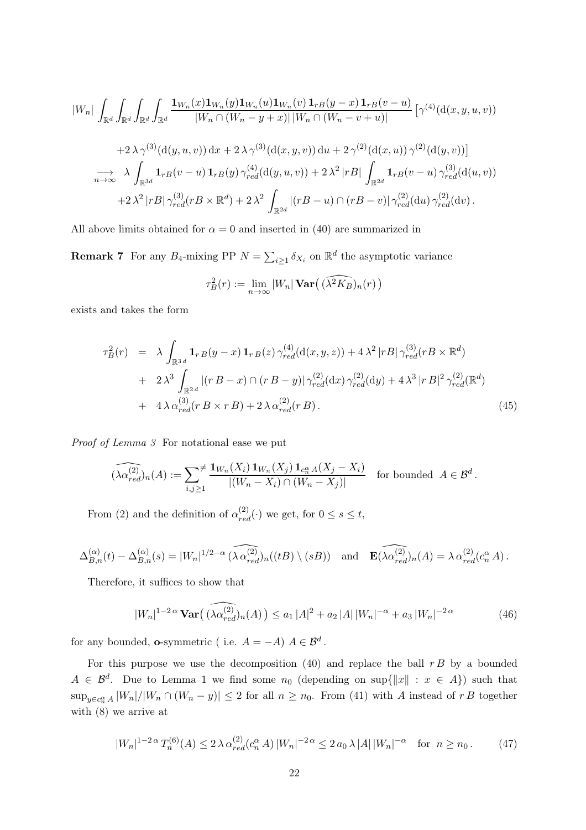$$
|W_{n}| \int_{\mathbb{R}^{d}} \int_{\mathbb{R}^{d}} \int_{\mathbb{R}^{d}} \int_{\mathbb{R}^{d}} \frac{\mathbf{1}_{W_{n}}(x) \mathbf{1}_{W_{n}}(y) \mathbf{1}_{W_{n}}(u) \mathbf{1}_{W_{n}}(v) \mathbf{1}_{rB}(y-x) \mathbf{1}_{rB}(v-u)}{|W_{n} \cap (W_{n}-y+x)| |W_{n} \cap (W_{n}-v+u)|} \left[ \gamma^{(4)}(\mathbf{d}(x,y,u,v)) \right]
$$
  
+2  $\lambda \gamma^{(3)}(\mathbf{d}(y,u,v)) dx + 2 \lambda \gamma^{(3)}(\mathbf{d}(x,y,v)) du + 2 \gamma^{(2)}(\mathbf{d}(x,u)) \gamma^{(2)}(\mathbf{d}(y,v))$ ]  
 $\longrightarrow \lambda \int_{\mathbb{R}^{3d}} \mathbf{1}_{rB}(v-u) \mathbf{1}_{rB}(y) \gamma^{(4)}_{red}(\mathbf{d}(y,u,v)) + 2 \lambda^{2} |rB| \int_{\mathbb{R}^{2d}} \mathbf{1}_{rB}(v-u) \gamma^{(3)}_{red}(\mathbf{d}(u,v))$   
+2  $\lambda^{2} |rB| \gamma^{(3)}_{red}(rB \times \mathbb{R}^{d}) + 2 \lambda^{2} \int_{\mathbb{R}^{2d}} |(rB - u) \cap (rB - v)| \gamma^{(2)}_{red}(\mathbf{d}u) \gamma^{(2)}_{red}(\mathbf{d}v).$ 

All above limits obtained for  $\alpha = 0$  and inserted in (40) are summarized in

**Remark 7** For any  $B_4$ -mixing PP  $N = \sum_{i \geq 1} \delta_{X_i}$  on  $\mathbb{R}^d$  the asymptotic variance

$$
\tau_B^2(r) := \lim_{n \to \infty} |W_n| \operatorname{Var}((\widehat{\lambda^2 K_B})_n(r))
$$

exists and takes the form

$$
\tau_B^2(r) = \lambda \int_{\mathbb{R}^{3d}} \mathbf{1}_{r} g(y-x) \mathbf{1}_{r} g(z) \gamma_{red}^{(4)}(\mathbf{d}(x, y, z)) + 4\lambda^2 |rB| \gamma_{red}^{(3)}(rB \times \mathbb{R}^d) \n+ 2\lambda^3 \int_{\mathbb{R}^{2d}} |(rB - x) \cap (rB - y)| \gamma_{red}^{(2)}(\mathbf{d}x) \gamma_{red}^{(2)}(\mathbf{d}y) + 4\lambda^3 |rB|^2 \gamma_{red}^{(2)}(\mathbb{R}^d) \n+ 4\lambda \alpha_{red}^{(3)}(rB \times rB) + 2\lambda \alpha_{red}^{(2)}(rB).
$$
\n(45)

Proof of Lemma 3 For notational ease we put

$$
(\widehat{\lambda \alpha_{red}^{(2)}})_n(A) := \sum_{i,j \ge 1}^{\neq} \frac{\mathbf{1}_{W_n}(X_i) \mathbf{1}_{W_n}(X_j) \mathbf{1}_{c_n^{\alpha}} A(X_j - X_i)}{|(W_n - X_i) \cap (W_n - X_j)|} \text{ for bounded } A \in \mathcal{B}^d.
$$

From (2) and the definition of  $\alpha_{red}^{(2)}(\cdot)$  we get, for  $0 \le s \le t$ ,

$$
\Delta_{B,n}^{(\alpha)}(t) - \Delta_{B,n}^{(\alpha)}(s) = |W_n|^{1/2 - \alpha} \left(\widehat{\lambda \alpha_{red}^{(2)}}\right)_n((tB) \setminus (sB)) \quad \text{and} \quad \widehat{\mathbf{E}(\lambda \alpha_{red}^{(2)})}_n(A) = \lambda \alpha_{red}^{(2)}(c_n^{\alpha} A).
$$

Therefore, it suffices to show that

$$
|W_n|^{1-2\alpha} \operatorname{Var}\left(\widehat{(\lambda \alpha_{red}^{(2)})_n}(A)\right) \le a_1 |A|^2 + a_2 |A| |W_n|^{-\alpha} + a_3 |W_n|^{-2\alpha} \tag{46}
$$

for any bounded, **o**-symmetric ( i.e.  $A = -A$ )  $A \in \mathcal{B}^d$ .

For this purpose we use the decomposition  $(40)$  and replace the ball  $rB$  by a bounded  $A \in \mathcal{B}^d$ . Due to Lemma 1 we find some  $n_0$  (depending on sup $\{\|x\| : x \in A\}$ ) such that  $\sup_{y\in c_n^{\alpha}} A |W_n|/|W_n \cap (W_n - y)| \leq 2$  for all  $n \geq n_0$ . From (41) with A instead of r B together with (8) we arrive at

$$
|W_n|^{1-2\alpha} T_n^{(6)}(A) \le 2\lambda \alpha_{red}^{(2)}(c_n^{\alpha} A) |W_n|^{-2\alpha} \le 2 a_0 \lambda |A| |W_n|^{-\alpha} \quad \text{for } n \ge n_0. \tag{47}
$$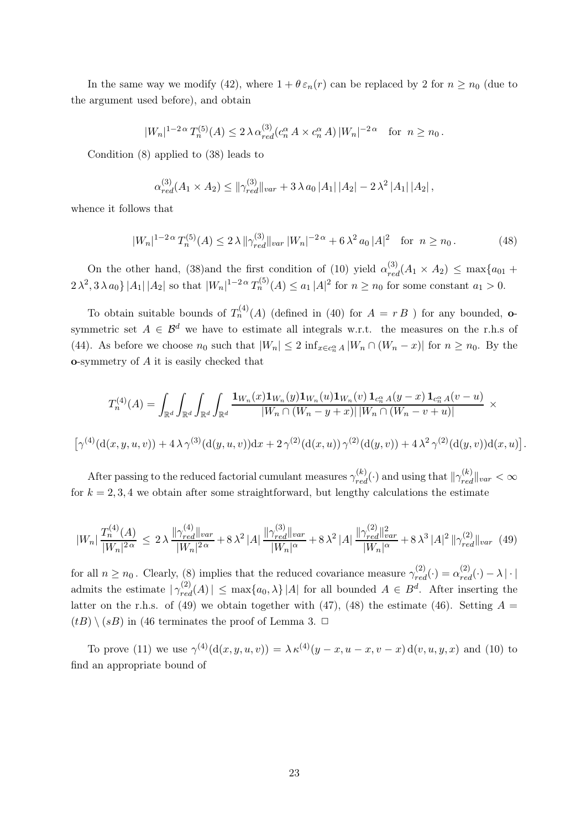In the same way we modify (42), where  $1 + \theta \varepsilon_n(r)$  can be replaced by 2 for  $n \geq n_0$  (due to the argument used before), and obtain

$$
|W_n|^{1-2\alpha} T_n^{(5)}(A) \le 2\lambda \alpha_{red}^{(3)}(c_n^{\alpha} A \times c_n^{\alpha} A) |W_n|^{-2\alpha} \text{ for } n \ge n_0.
$$

Condition (8) applied to (38) leads to

$$
\alpha_{red}^{(3)}(A_1 \times A_2) \le ||\gamma_{red}^{(3)}||_{var} + 3 \lambda a_0 |A_1| |A_2| - 2 \lambda^2 |A_1| |A_2|,
$$

whence it follows that

$$
|W_n|^{1-2\alpha} T_n^{(5)}(A) \le 2\lambda \|\gamma_{red}^{(3)}\|_{var} |W_n|^{-2\alpha} + 6\lambda^2 a_0 |A|^2 \quad \text{for } n \ge n_0. \tag{48}
$$

On the other hand, (38)and the first condition of (10) yield  $\alpha_{red}^{(3)}(A_1 \times A_2) \leq \max\{a_{01} +$  $2\lambda^2$ ,  $3\lambda a_0$  |  $A_1$ |  $|A_2|$  so that  $|W_n|^{1-2\alpha} T_n^{(5)}(A) \le a_1 |A|^2$  for  $n \ge n_0$  for some constant  $a_1 > 0$ .

To obtain suitable bounds of  $T_n^{(4)}(A)$  (defined in (40) for  $A = rB$  ) for any bounded, **o**symmetric set  $A \in \mathcal{B}^d$  we have to estimate all integrals w.r.t. the measures on the r.h.s of (44). As before we choose  $n_0$  such that  $|W_n| \leq 2 \inf_{x \in c_n^{\alpha}} A |W_n \cap (W_n - x)|$  for  $n \geq n_0$ . By the o-symmetry of A it is easily checked that

$$
T_n^{(4)}(A) = \int_{\mathbb{R}^d} \int_{\mathbb{R}^d} \int_{\mathbb{R}^d} \frac{\mathbf{1}_{W_n}(x) \mathbf{1}_{W_n}(y) \mathbf{1}_{W_n}(u) \mathbf{1}_{W_n}(v) \mathbf{1}_{c_n^{\alpha}} A(y-x) \mathbf{1}_{c_n^{\alpha}} A(v-u)}{|W_n \cap (W_n - y + x)| |W_n \cap (W_n - v + u)|} \times
$$
  

$$
[\gamma^{(4)}(\mathbf{d}(x, y, u, v)) + 4 \lambda \gamma^{(3)}(\mathbf{d}(y, u, v)) \mathbf{d}x + 2 \gamma^{(2)}(\mathbf{d}(x, u)) \gamma^{(2)}(\mathbf{d}(y, v)) + 4 \lambda^2 \gamma^{(2)}(\mathbf{d}(y, v)) \mathbf{d}(x, u)].
$$

After passing to the reduced factorial cumulant measures  $\gamma_{red}^{(k)}(\cdot)$  and using that  $\|\gamma_{red}^{(k)}\|_{var} < \infty$ for  $k = 2, 3, 4$  we obtain after some straightforward, but lengthy calculations the estimate

$$
|W_n| \frac{T_n^{(4)}(A)}{|W_n|^{2\alpha}} \le 2\lambda \frac{\|\gamma_{red}^{(4)}\|_{var}}{|W_n|^{2\alpha}} + 8\lambda^2 |A| \frac{\|\gamma_{red}^{(3)}\|_{var}}{|W_n|^{\alpha}} + 8\lambda^2 |A| \frac{\|\gamma_{red}^{(2)}\|_{var}}{|W_n|^{\alpha}} + 8\lambda^3 |A|^2 \|\gamma_{red}^{(2)}\|_{var} \tag{49}
$$

for all  $n \ge n_0$ . Clearly, (8) implies that the reduced covariance measure  $\gamma_{red}^{(2)}(\cdot) = \alpha_{red}^{(2)}(\cdot) - \lambda |\cdot|$ admits the estimate  $|\gamma_{red}^{(2)}(A)| \leq \max\{a_0, \lambda\} |A|$  for all bounded  $A \in B^d$ . After inserting the latter on the r.h.s. of (49) we obtain together with (47), (48) the estimate (46). Setting  $A =$  $(tB) \setminus (sB)$  in (46 terminates the proof of Lemma 3.  $\Box$ 

To prove (11) we use  $\gamma^{(4)}(d(x, y, u, v)) = \lambda \kappa^{(4)}(y - x, u - x, v - x) d(v, u, y, x)$  and (10) to find an appropriate bound of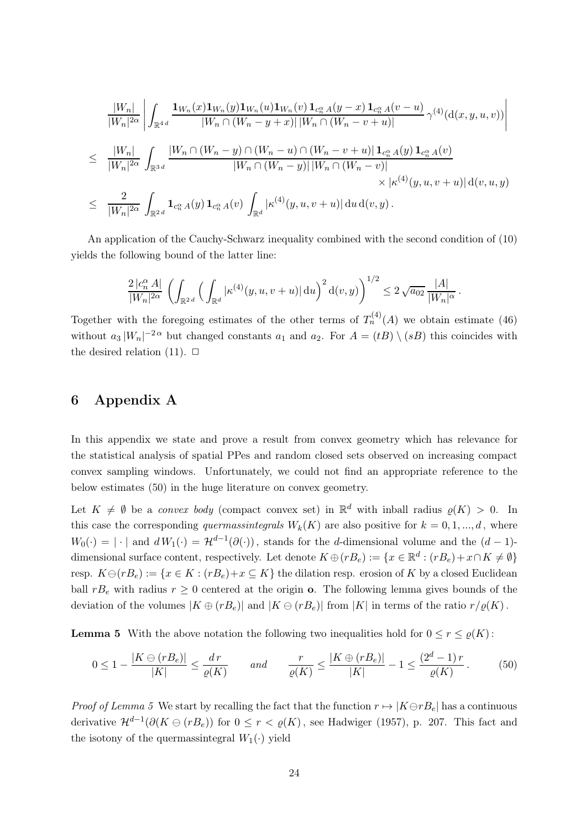$$
\frac{|W_n|}{|W_n|^{2\alpha}} \left| \int_{\mathbb{R}^{4d}} \frac{\mathbf{1}_{W_n}(x) \mathbf{1}_{W_n}(y) \mathbf{1}_{W_n}(u) \mathbf{1}_{W_n}(v) \mathbf{1}_{c_n^{\alpha}} A(y-x) \mathbf{1}_{c_n^{\alpha}} A(v-u)}{|W_n|^{2\alpha}} \gamma^{(4)}(\mathrm{d}(x, y, u, v)) \right|
$$
  
\n
$$
\leq \frac{|W_n|}{|W_n|^{2\alpha}} \int_{\mathbb{R}^{3d}} \frac{|W_n \cap (W_n - y) \cap (W_n - u) \cap (W_n - v + u)| \mathbf{1}_{c_n^{\alpha}} A(y) \mathbf{1}_{c_n^{\alpha}} A(v)}{|W_n \cap (W_n - y)| |W_n \cap (W_n - v)|} \times |\kappa^{(4)}(y, u, v + u)| \, \mathrm{d}(v, u, y)
$$
  
\n
$$
\leq \frac{2}{|W_n|^{2\alpha}} \int_{\mathbb{R}^{2d}} \mathbf{1}_{c_n^{\alpha}} A(y) \mathbf{1}_{c_n^{\alpha}} A(v) \int_{\mathbb{R}^d} |\kappa^{(4)}(y, u, v + u)| \, \mathrm{d}u \, \mathrm{d}(v, y) .
$$

An application of the Cauchy-Schwarz inequality combined with the second condition of (10) yields the following bound of the latter line:

$$
\frac{2\,|c_n^{\alpha}\,A|}{|W_n|^{2\alpha}}\,\left(\int_{\mathbb{R}^{2\,d}}\Big(\int_{\mathbb{R}^d}|\kappa^{(4)}(y,u,v+u)|\,\mathrm{d}u\Big)^2\,\mathrm{d}(v,y)\right)^{1/2}\leq 2\sqrt{a_{02}}\,\frac{|A|}{|W_n|^{\alpha}}\,.
$$

Together with the foregoing estimates of the other terms of  $T_n^{(4)}(A)$  we obtain estimate (46) without  $a_3 |W_n|^{-2\alpha}$  but changed constants  $a_1$  and  $a_2$ . For  $A = (tB) \setminus (sB)$  this coincides with the desired relation (11).  $\Box$ 

## 6 Appendix A

In this appendix we state and prove a result from convex geometry which has relevance for the statistical analysis of spatial PPes and random closed sets observed on increasing compact convex sampling windows. Unfortunately, we could not find an appropriate reference to the below estimates (50) in the huge literature on convex geometry.

Let  $K \neq \emptyset$  be a convex body (compact convex set) in  $\mathbb{R}^d$  with inball radius  $\varrho(K) > 0$ . In this case the corresponding *quermassintegrals*  $W_k(K)$  are also positive for  $k = 0, 1, ..., d$ , where  $W_0(\cdot) = |\cdot|$  and  $dW_1(\cdot) = \mathcal{H}^{d-1}(\partial(\cdot))$ , stands for the *d*-dimensional volume and the  $(d-1)$ dimensional surface content, respectively. Let denote  $K \oplus (rB_e) := \{x \in \mathbb{R}^d : (rB_e) + x \cap K \neq \emptyset\}$ resp.  $K \ominus (rB_e) := \{x \in K : (rB_e) + x \subseteq K\}$  the dilation resp. erosion of K by a closed Euclidean ball  $rB_e$  with radius  $r \geq 0$  centered at the origin **o**. The following lemma gives bounds of the deviation of the volumes  $|K \oplus (rB_e)|$  and  $|K \ominus (rB_e)|$  from  $|K|$  in terms of the ratio  $r/\rho(K)$ .

**Lemma 5** With the above notation the following two inequalities hold for  $0 \le r \le \varrho(K)$ :

$$
0 \le 1 - \frac{|K \ominus (rB_e)|}{|K|} \le \frac{dr}{\varrho(K)} \qquad and \qquad \frac{r}{\varrho(K)} \le \frac{|K \oplus (rB_e)|}{|K|} - 1 \le \frac{(2^d - 1)r}{\varrho(K)}.
$$
 (50)

*Proof of Lemma 5* We start by recalling the fact that the function  $r \mapsto |K \ominus rB_e|$  has a continuous derivative  $\mathcal{H}^{d-1}(\partial (K \ominus (rB_e))$  for  $0 \le r < \varrho(K)$ , see Hadwiger (1957), p. 207. This fact and the isotony of the quermassintegral  $W_1(\cdot)$  yield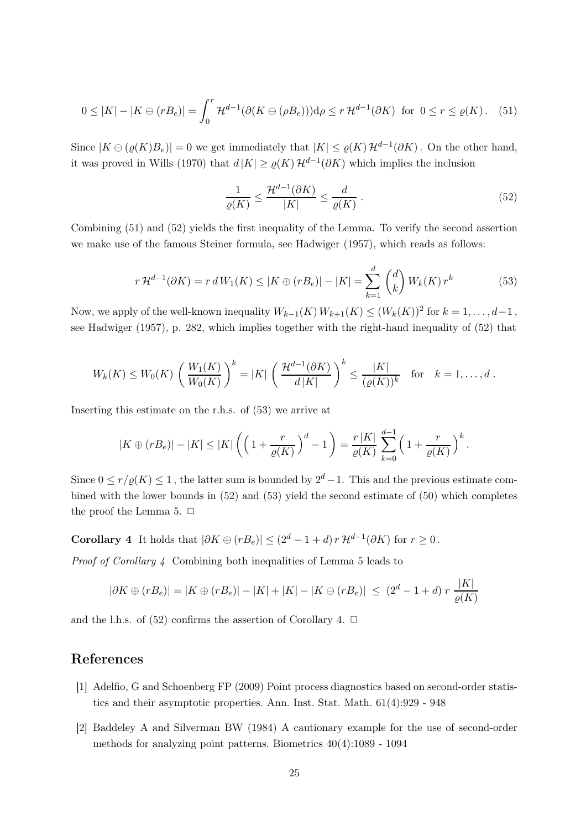$$
0 \le |K| - |K \ominus (rB_e)| = \int_0^r \mathcal{H}^{d-1}(\partial (K \ominus (\rho B_e))) \mathrm{d}\rho \le r \, \mathcal{H}^{d-1}(\partial K) \text{ for } 0 \le r \le \varrho(K). \tag{51}
$$

Since  $|K \ominus (\varrho(K)B_e)| = 0$  we get immediately that  $|K| \leq \varrho(K) \mathcal{H}^{d-1}(\partial K)$ . On the other hand, it was proved in Wills (1970) that  $d|K| \ge \varrho(K) \mathcal{H}^{d-1}(\partial K)$  which implies the inclusion

$$
\frac{1}{\varrho(K)} \le \frac{\mathcal{H}^{d-1}(\partial K)}{|K|} \le \frac{d}{\varrho(K)}\,. \tag{52}
$$

Combining (51) and (52) yields the first inequality of the Lemma. To verify the second assertion we make use of the famous Steiner formula, see Hadwiger (1957), which reads as follows:

$$
r \mathcal{H}^{d-1}(\partial K) = r d W_1(K) \le |K \oplus (r B_e)| - |K| = \sum_{k=1}^d \binom{d}{k} W_k(K) r^k \tag{53}
$$

Now, we apply of the well-known inequality  $W_{k-1}(K) W_{k+1}(K) \leq (W_k(K))^2$  for  $k = 1, ..., d-1$ , see Hadwiger (1957), p. 282, which implies together with the right-hand inequality of (52) that

$$
W_k(K) \leq W_0(K) \left(\frac{W_1(K)}{W_0(K)}\right)^k = |K| \left(\frac{\mathcal{H}^{d-1}(\partial K)}{d|K|}\right)^k \leq \frac{|K|}{(\varrho(K))^k} \quad \text{for} \quad k = 1, \ldots, d.
$$

Inserting this estimate on the r.h.s. of (53) we arrive at

$$
|K \oplus (rB_e)| - |K| \leq |K| \left( \left( 1 + \frac{r}{\varrho(K)} \right)^d - 1 \right) = \frac{r|K|}{\varrho(K)} \sum_{k=0}^{d-1} \left( 1 + \frac{r}{\varrho(K)} \right)^k.
$$

Since  $0 \le r/\varrho(K) \le 1$ , the latter sum is bounded by  $2^d - 1$ . This and the previous estimate combined with the lower bounds in (52) and (53) yield the second estimate of (50) which completes the proof the Lemma 5.  $\Box$ 

**Corollary 4** It holds that  $|\partial K \oplus (rB_e)| \leq (2^d - 1 + d) r \mathcal{H}^{d-1}(\partial K)$  for  $r \geq 0$ .

Proof of Corollary 4 Combining both inequalities of Lemma 5 leads to

$$
|\partial K \oplus (rB_e)| = |K \oplus (rB_e)| - |K| + |K| - |K \ominus (rB_e)| \le (2^d - 1 + d) r \frac{|K|}{\varrho(K)}
$$

and the l.h.s. of (52) confirms the assertion of Corollary 4.  $\Box$ 

### References

- [1] Adelfio, G and Schoenberg FP (2009) Point process diagnostics based on second-order statistics and their asymptotic properties. Ann. Inst. Stat. Math. 61(4):929 - 948
- [2] Baddeley A and Silverman BW (1984) A cautionary example for the use of second-order methods for analyzing point patterns. Biometrics 40(4):1089 - 1094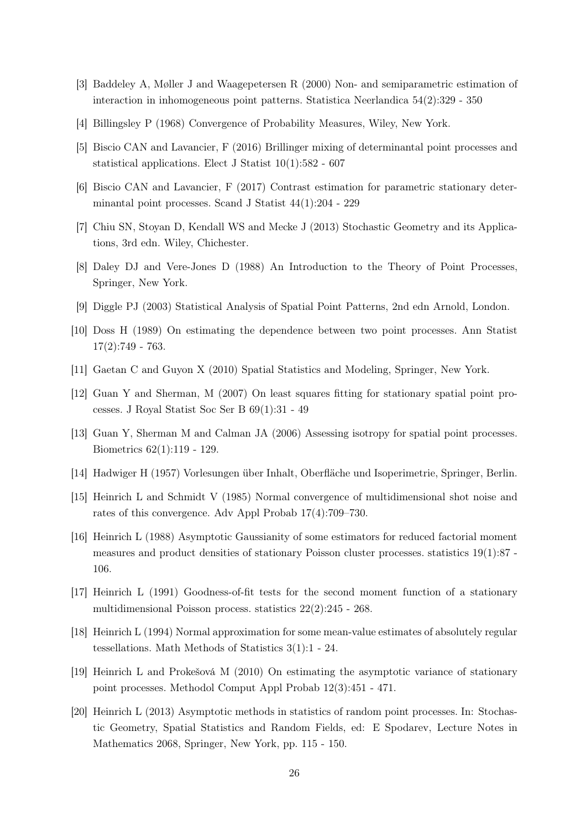- [3] Baddeley A, Møller J and Waagepetersen R (2000) Non- and semiparametric estimation of interaction in inhomogeneous point patterns. Statistica Neerlandica 54(2):329 - 350
- [4] Billingsley P (1968) Convergence of Probability Measures, Wiley, New York.
- [5] Biscio CAN and Lavancier, F (2016) Brillinger mixing of determinantal point processes and statistical applications. Elect J Statist 10(1):582 - 607
- [6] Biscio CAN and Lavancier, F (2017) Contrast estimation for parametric stationary determinantal point processes. Scand J Statist 44(1):204 - 229
- [7] Chiu SN, Stoyan D, Kendall WS and Mecke J (2013) Stochastic Geometry and its Applications, 3rd edn. Wiley, Chichester.
- [8] Daley DJ and Vere-Jones D (1988) An Introduction to the Theory of Point Processes, Springer, New York.
- [9] Diggle PJ (2003) Statistical Analysis of Spatial Point Patterns, 2nd edn Arnold, London.
- [10] Doss H (1989) On estimating the dependence between two point processes. Ann Statist 17(2):749 - 763.
- [11] Gaetan C and Guyon X (2010) Spatial Statistics and Modeling, Springer, New York.
- [12] Guan Y and Sherman, M (2007) On least squares fitting for stationary spatial point processes. J Royal Statist Soc Ser B 69(1):31 - 49
- [13] Guan Y, Sherman M and Calman JA (2006) Assessing isotropy for spatial point processes. Biometrics 62(1):119 - 129.
- [14] Hadwiger H (1957) Vorlesungen über Inhalt, Oberfläche und Isoperimetrie, Springer, Berlin.
- [15] Heinrich L and Schmidt V (1985) Normal convergence of multidimensional shot noise and rates of this convergence. Adv Appl Probab 17(4):709–730.
- [16] Heinrich L (1988) Asymptotic Gaussianity of some estimators for reduced factorial moment measures and product densities of stationary Poisson cluster processes. statistics 19(1):87 - 106.
- [17] Heinrich L (1991) Goodness-of-fit tests for the second moment function of a stationary multidimensional Poisson process. statistics 22(2):245 - 268.
- [18] Heinrich L (1994) Normal approximation for some mean-value estimates of absolutely regular tessellations. Math Methods of Statistics 3(1):1 - 24.
- [19] Heinrich L and Prokešová M (2010) On estimating the asymptotic variance of stationary point processes. Methodol Comput Appl Probab 12(3):451 - 471.
- [20] Heinrich L (2013) Asymptotic methods in statistics of random point processes. In: Stochastic Geometry, Spatial Statistics and Random Fields, ed: E Spodarev, Lecture Notes in Mathematics 2068, Springer, New York, pp. 115 - 150.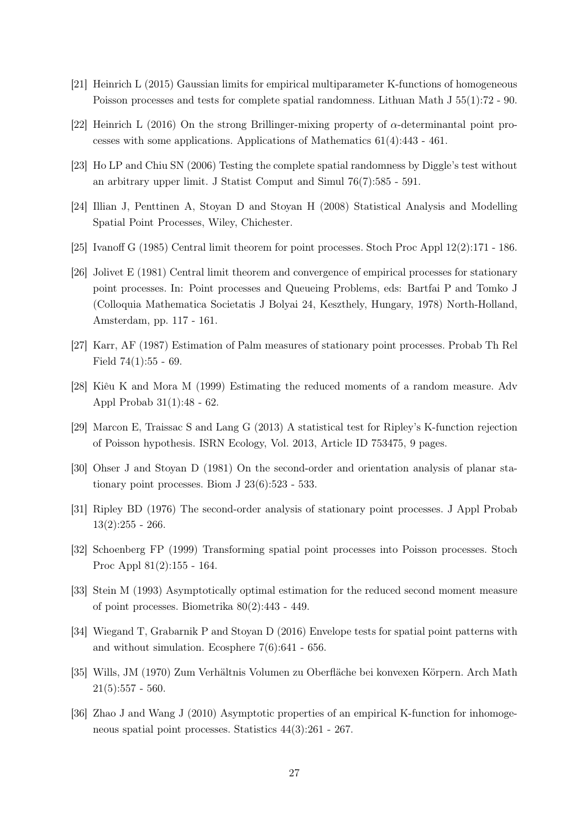- [21] Heinrich L (2015) Gaussian limits for empirical multiparameter K-functions of homogeneous Poisson processes and tests for complete spatial randomness. Lithuan Math J 55(1):72 - 90.
- [22] Heinrich L (2016) On the strong Brillinger-mixing property of α-determinantal point processes with some applications. Applications of Mathematics 61(4):443 - 461.
- [23] Ho LP and Chiu SN (2006) Testing the complete spatial randomness by Diggle's test without an arbitrary upper limit. J Statist Comput and Simul 76(7):585 - 591.
- [24] Illian J, Penttinen A, Stoyan D and Stoyan H (2008) Statistical Analysis and Modelling Spatial Point Processes, Wiley, Chichester.
- [25] Ivanoff G (1985) Central limit theorem for point processes. Stoch Proc Appl 12(2):171 186.
- [26] Jolivet E (1981) Central limit theorem and convergence of empirical processes for stationary point processes. In: Point processes and Queueing Problems, eds: Bartfai P and Tomko J (Colloquia Mathematica Societatis J Bolyai 24, Keszthely, Hungary, 1978) North-Holland, Amsterdam, pp. 117 - 161.
- [27] Karr, AF (1987) Estimation of Palm measures of stationary point processes. Probab Th Rel Field  $74(1):55 - 69$ .
- [28] Kiêu K and Mora M (1999) Estimating the reduced moments of a random measure. Adv Appl Probab 31(1):48 - 62.
- [29] Marcon E, Traissac S and Lang G (2013) A statistical test for Ripley's K-function rejection of Poisson hypothesis. ISRN Ecology, Vol. 2013, Article ID 753475, 9 pages.
- [30] Ohser J and Stoyan D (1981) On the second-order and orientation analysis of planar stationary point processes. Biom J 23(6):523 - 533.
- [31] Ripley BD (1976) The second-order analysis of stationary point processes. J Appl Probab  $13(2):255 - 266.$
- [32] Schoenberg FP (1999) Transforming spatial point processes into Poisson processes. Stoch Proc Appl 81(2):155 - 164.
- [33] Stein M (1993) Asymptotically optimal estimation for the reduced second moment measure of point processes. Biometrika 80(2):443 - 449.
- [34] Wiegand T, Grabarnik P and Stoyan D (2016) Envelope tests for spatial point patterns with and without simulation. Ecosphere 7(6):641 - 656.
- [35] Wills, JM (1970) Zum Verhältnis Volumen zu Oberfläche bei konvexen Körpern. Arch Math  $21(5):557 - 560.$
- [36] Zhao J and Wang J (2010) Asymptotic properties of an empirical K-function for inhomogeneous spatial point processes. Statistics 44(3):261 - 267.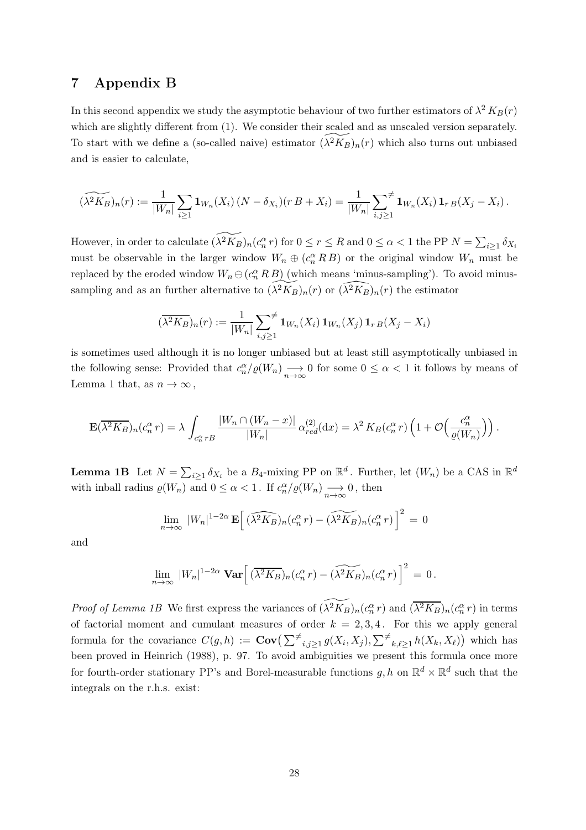## 7 Appendix B

In this second appendix we study the asymptotic behaviour of two further estimators of  $\lambda^2 K_B(r)$ which are slightly different from  $(1)$ . We consider their scaled and as unscaled version separately. To start with we define a (so-called naive) estimator  $(\lambda^2 K_B)_n(r)$  which also turns out unbiased and is easier to calculate,

$$
(\widetilde{\lambda^2 K_B})_n(r) := \frac{1}{|W_n|} \sum_{i \geq 1} \mathbf{1}_{W_n}(X_i) (N - \delta_{X_i})(r B + X_i) = \frac{1}{|W_n|} \sum_{i,j \geq 1}^{n} \mathbf{1}_{W_n}(X_i) \mathbf{1}_{r B}(X_j - X_i).
$$

However, in order to calculate  $(\widetilde{\lambda^2 K_B})_n(c_n^{\alpha} r)$  for  $0 \le r \le R$  and  $0 \le \alpha < 1$  the PP  $N = \sum_{i \ge 1} \delta_{X_i}$ must be observable in the larger window  $W_n \oplus (c_n^{\alpha} R B)$  or the original window  $W_n$  must be replaced by the eroded window  $W_n \ominus (c_n^{\alpha} R B)$  (which means 'minus-sampling'). To avoid minussampling and as an further alternative to  $(\lambda^2 K_B)_n(r)$  or  $(\widehat{\lambda}^2 K_B)_n(r)$  the estimator

$$
(\overline{\lambda^2 K_B})_n(r) := \frac{1}{|W_n|} \sum_{i,j \ge 1}^{\neq} \mathbf{1}_{W_n}(X_i) \mathbf{1}_{W_n}(X_j) \mathbf{1}_{r,B}(X_j - X_i)
$$

is sometimes used although it is no longer unbiased but at least still asymptotically unbiased in the following sense: Provided that  $c_n^{\alpha}/\varrho(W_n) \longrightarrow 0$  for some  $0 \leq \alpha < 1$  it follows by means of Lemma 1 that, as  $n \to \infty$ ,

$$
\mathbf{E}(\overline{\lambda^2 K_B})_n(c_n^{\alpha} r) = \lambda \int_{c_n^{\alpha} r B} \frac{|W_n \cap (W_n - x)|}{|W_n|} \alpha_{red}^{(2)}(\mathrm{d}x) = \lambda^2 K_B(c_n^{\alpha} r) \left(1 + \mathcal{O}\left(\frac{c_n^{\alpha}}{\varrho(W_n)}\right)\right).
$$

**Lemma 1B** Let  $N = \sum_{i\geq 1} \delta_{X_i}$  be a  $B_4$ -mixing PP on  $\mathbb{R}^d$ . Further, let  $(W_n)$  be a CAS in  $\mathbb{R}^d$ with inball radius  $\varrho(W_n)$  and  $0 \leq \alpha < 1$ . If  $c_n^{\alpha}/\varrho(W_n) \longrightarrow \infty$ , then

$$
\lim_{n \to \infty} |W_n|^{1-2\alpha} \mathbf{E} \left[ \left( \widehat{\lambda^2 K_B} \right)_n (c_n^{\alpha} r) - \left( \widehat{\lambda^2 K_B} \right)_n (c_n^{\alpha} r) \right]^2 = 0
$$

and

$$
\lim_{n\to\infty} |W_n|^{1-2\alpha} \operatorname{\mathbf{Var}}\left[ (\overline{\lambda^2 K_B})_n (c_n^{\alpha} r) - (\widetilde{\lambda^2 K_B})_n (c_n^{\alpha} r) \right]^2 = 0.
$$

*Proof of Lemma 1B* We first express the variances of  $\widetilde{(\lambda^2 K_B)}_n(c_n^{\alpha} r)$  and  $\widetilde{(\lambda^2 K_B)}_n(c_n^{\alpha} r)$  in terms of factorial moment and cumulant measures of order  $k = 2, 3, 4$ . For this we apply general formula for the covariance  $C(g, h) := \text{Cov}(\sum \neq_{i,j\geq 1} g(X_i, X_j), \sum \neq_{k,\ell \geq 1} h(X_k, X_{\ell}))$  which has been proved in Heinrich (1988), p. 97. To avoid ambiguities we present this formula once more for fourth-order stationary PP's and Borel-measurable functions  $g, h$  on  $\mathbb{R}^d \times \mathbb{R}^d$  such that the integrals on the r.h.s. exist: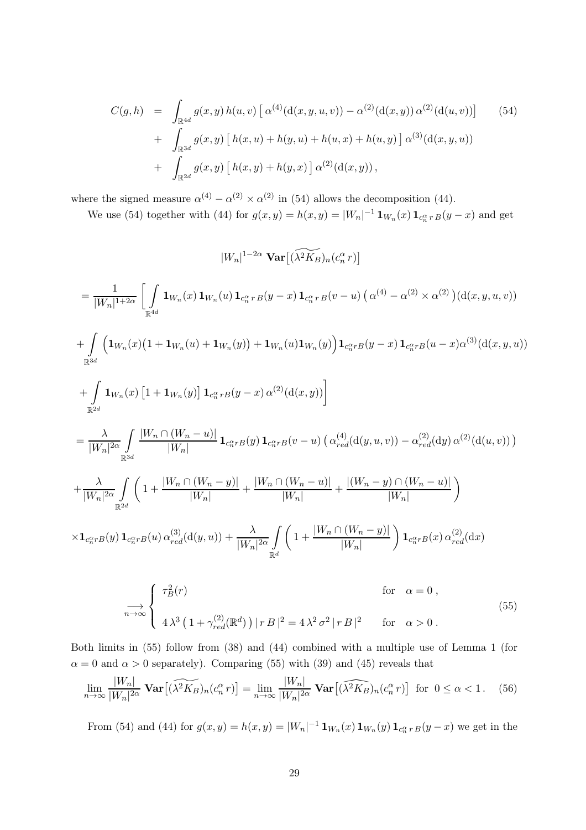$$
C(g,h) = \int_{\mathbb{R}^{4d}} g(x,y) h(u,v) \left[ \alpha^{(4)}(d(x,y,u,v)) - \alpha^{(2)}(d(x,y)) \alpha^{(2)}(d(u,v)) \right] \quad (54)
$$
  
+ 
$$
\int_{\mathbb{R}^{3d}} g(x,y) \left[ h(x,u) + h(y,u) + h(u,x) + h(u,y) \right] \alpha^{(3)}(d(x,y,u))
$$
  
+ 
$$
\int_{\mathbb{R}^{2d}} g(x,y) \left[ h(x,y) + h(y,x) \right] \alpha^{(2)}(d(x,y)),
$$

where the signed measure  $\alpha^{(4)} - \alpha^{(2)} \times \alpha^{(2)}$  in (54) allows the decomposition (44).

We use (54) together with (44) for  $g(x, y) = h(x, y) = |W_n|^{-1} \mathbf{1}_{W_n}(x) \mathbf{1}_{c_n^{\alpha} r B}(y - x)$  and get

$$
|W_{n}|^{1-2\alpha} \operatorname{Var}[(\widehat{\lambda^{2}K_{B}})_{n}(c_{n}^{\alpha}r)]
$$
\n
$$
= \frac{1}{|W_{n}|^{1+2\alpha}} \left[ \int_{\mathbb{R}^{4d}} \mathbf{1}_{W_{n}}(x) \mathbf{1}_{W_{n}}(u) \mathbf{1}_{c_{n}^{\alpha}r} B(y-x) \mathbf{1}_{c_{n}^{\alpha}r} B(v-u) \left( \alpha^{(4)} - \alpha^{(2)} \times \alpha^{(2)} \right) (\mathrm{d}(x, y, u, v)) \right. \\
\left. + \int_{\mathbb{R}^{3d}} \left( \mathbf{1}_{W_{n}}(x) \left( 1 + \mathbf{1}_{W_{n}}(u) + \mathbf{1}_{W_{n}}(y) \right) + \mathbf{1}_{W_{n}}(u) \mathbf{1}_{W_{n}}(y) \right) \mathbf{1}_{c_{n}^{\alpha}r} B(y-x) \mathbf{1}_{c_{n}^{\alpha}r} B(u-x) \alpha^{(3)}(\mathrm{d}(x, y, u)) \right] \\
+ \int_{\mathbb{R}^{2d}} \mathbf{1}_{W_{n}}(x) \left[ 1 + \mathbf{1}_{W_{n}}(y) \right] \mathbf{1}_{c_{n}^{\alpha}r} B(y-x) \alpha^{(2)}(\mathrm{d}(x, y)) \right]
$$
\n
$$
= \frac{\lambda}{|W_{n}|^{2\alpha}} \int_{\mathbb{R}^{2d}} \frac{|W_{n} \cap (W_{n} - u)|}{|W_{n}|} \mathbf{1}_{c_{n}^{\alpha}r} B(y) \mathbf{1}_{c_{n}^{\alpha}r} B(v-u) \left( \alpha_{red}^{(4)}(\mathrm{d}(y, u, v)) - \alpha_{red}^{(2)}(\mathrm{d}y) \alpha^{(2)}(\mathrm{d}(u, v)) \right) \right. \\
\left. + \frac{\lambda}{|W_{n}|^{2\alpha}} \int_{\mathbb{R}^{2d}} \left( 1 + \frac{|W_{n} \cap (W_{n} - y)|}{|W_{n}|} + \frac{|W_{n} \cap (W_{n} - u)|}{|W_{n}|} + \frac{|W_{n} - y) \cap (W_{n} - u)|}{|W_{n}|} \right) \right)
$$
\n
$$
\times \mathbf{1}_{c_{n}^{\alpha}r} B(y)
$$

$$
\Rightarrow \begin{cases}\n\tau_B^2(r) & \text{for } \alpha = 0, \\
4\lambda^3 \left(1 + \gamma_{red}^{(2)}(\mathbb{R}^d)\right) |rB|^2 = 4\lambda^2 \sigma^2 |rB|^2 & \text{for } \alpha > 0.\n\end{cases}
$$
\n(55)

Both limits in (55) follow from (38) and (44) combined with a multiple use of Lemma 1 (for  $\alpha = 0$  and  $\alpha > 0$  separately). Comparing (55) with (39) and (45) reveals that

$$
\lim_{n \to \infty} \frac{|W_n|}{|W_n|^{2\alpha}} \operatorname{\textbf{Var}}\left[ (\widetilde{\lambda^2 K_B})_n (c_n^{\alpha} r) \right] = \lim_{n \to \infty} \frac{|W_n|}{|W_n|^{2\alpha}} \operatorname{\textbf{Var}}\left[ (\widehat{\lambda^2 K_B})_n (c_n^{\alpha} r) \right] \text{ for } 0 \le \alpha < 1. \tag{56}
$$

From (54) and (44) for  $g(x, y) = h(x, y) = |W_n|^{-1} \mathbf{1}_{W_n}(x) \mathbf{1}_{W_n}(y) \mathbf{1}_{c_n^{\alpha} r, B}(y-x)$  we get in the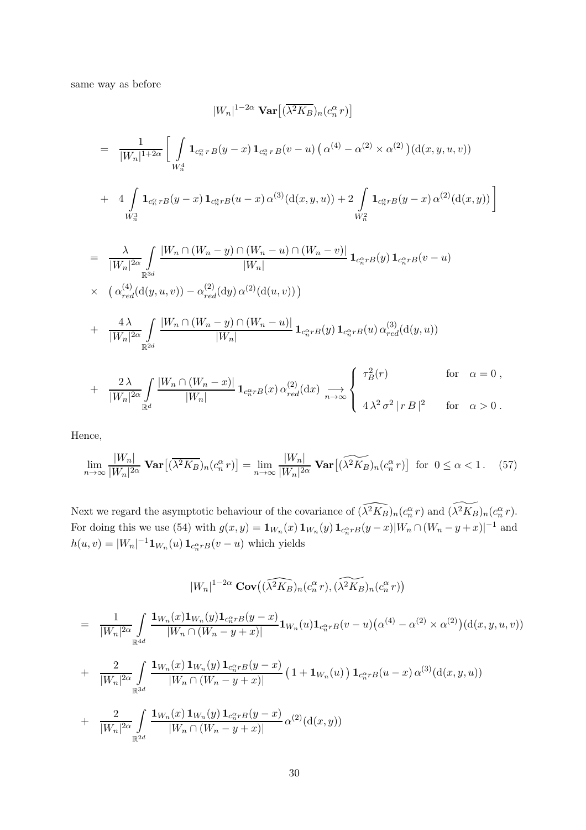same way as before

$$
|W_n|^{1-2\alpha} \operatorname{Var}\left[(\overline{\lambda^2 K_B})_n(c_n^{\alpha} r)\right]
$$
\n
$$
= \frac{1}{|W_n|^{1+2\alpha}} \left[ \int_{W_n^4} \mathbf{1}_{c_n^{\alpha} r B}(y-x) \mathbf{1}_{c_n^{\alpha} r B}(v-u) \left( \alpha^{(4)} - \alpha^{(2)} \times \alpha^{(2)} \right) (d(x, y, u, v)) + 4 \int_{W_n^2} \mathbf{1}_{c_n^{\alpha} r B}(y-x) \mathbf{1}_{c_n^{\alpha} r B}(u-x) \alpha^{(3)} (d(x, y, u)) + 2 \int_{W_n^2} \mathbf{1}_{c_n^{\alpha} r B}(y-x) \alpha^{(2)} (d(x, y)) \right]
$$
\n
$$
= \frac{\lambda}{|W_n|^{2\alpha}} \int_{\mathbb{R}^{3d}} \frac{|W_n \cap (W_n - y) \cap (W_n - u) \cap (W_n - v)|}{|W_n|} \mathbf{1}_{c_n^{\alpha} r B}(y) \mathbf{1}_{c_n^{\alpha} r B}(v-u)
$$
\n
$$
\times \left( \alpha_{red}^{(4)}(d(y, u, v)) - \alpha_{red}^{(2)}(d(y) \alpha^{(2)}(d(u, v))) \right)
$$
\n
$$
+ \frac{4\lambda}{|W_n|^{2\alpha}} \int_{\mathbb{R}^{2d}} \frac{|W_n \cap (W_n - y) \cap (W_n - u)|}{|W_n|} \mathbf{1}_{c_n^{\alpha} r B}(y) \mathbf{1}_{c_n^{\alpha} r B}(u) \alpha_{red}^{(3)}(d(y, u)) + \frac{2\lambda}{|W_n|^{2\alpha}} \int_{\mathbb{R}^d} \frac{|W_n \cap (W_n - x)|}{|W_n|} \mathbf{1}_{c_n^{\alpha} r B}(x) \alpha_{red}^{(2)}(dx) \underset{n \to \infty}{\longrightarrow} \left\{ \begin{array}{c} \tau_B^2(r) & \text{for } \alpha = 0, \\ 4\lambda^2 \sigma^2 |r B|^2 & \text{for } \alpha > 0. \end{array} \right.
$$

Hence,

$$
\lim_{n \to \infty} \frac{|W_n|}{|W_n|^{2\alpha}} \mathbf{Var}\left[ (\overline{\lambda^2 K_B})_n (c_n^{\alpha} r) \right] = \lim_{n \to \infty} \frac{|W_n|}{|W_n|^{2\alpha}} \mathbf{Var}\left[ (\widetilde{\lambda^2 K_B})_n (c_n^{\alpha} r) \right] \text{ for } 0 \le \alpha < 1. \tag{57}
$$

Next we regard the asymptotic behaviour of the covariance of  $(\widehat{\lambda^2 K_B})_n(c_n^{\alpha} r)$  and  $(\widetilde{\lambda^2 K_B})_n(c_n^{\alpha} r)$ . For doing this we use (54) with  $g(x, y) = \mathbf{1}_{W_n}(x) \mathbf{1}_{W_n}(y) \mathbf{1}_{c_n^{\alpha}rB}(y-x) |W_n \cap (W_n - y + x)|^{-1}$  and  $h(u, v) = |W_n|^{-1} \mathbf{1}_{W_n}(u) \mathbf{1}_{c_n^{\alpha}rB}(v - u)$  which yields

$$
|W_n|^{1-2\alpha}\; \mathbf{Cov}\big((\widehat{\lambda^2 K_B})_n(c^\alpha_n\,r),(\widehat{\lambda^2 K_B})_n(c^\alpha_n\,r)\big)
$$

$$
= \frac{1}{|W_n|^{2\alpha}} \int \frac{\mathbf{1}_{W_n}(x) \mathbf{1}_{W_n}(y) \mathbf{1}_{c_n^{\alpha}rB}(y-x)}{|W_n \cap (W_n - y + x)|} \mathbf{1}_{W_n}(u) \mathbf{1}_{c_n^{\alpha}rB}(v-u) (\alpha^{(4)} - \alpha^{(2)} \times \alpha^{(2)}) (d(x, y, u, v))
$$
  
+ 
$$
\frac{2}{|W_n|^{2\alpha}} \int \frac{\mathbf{1}_{W_n}(x) \mathbf{1}_{W_n}(y) \mathbf{1}_{c_n^{\alpha}rB}(y-x)}{|W_n \cap (W_n - y + x)|} (1 + \mathbf{1}_{W_n}(u)) \mathbf{1}_{c_n^{\alpha}rB}(u-x) \alpha^{(3)}(d(x, y, u))
$$
  
+ 
$$
\frac{2}{|W_n|^{2\alpha}} \int \frac{\mathbf{1}_{W_n}(x) \mathbf{1}_{W_n}(y) \mathbf{1}_{c_n^{\alpha}rB}(y-x)}{|W_n \cap (W_n - y + x)|} \alpha^{(2)}(d(x, y))
$$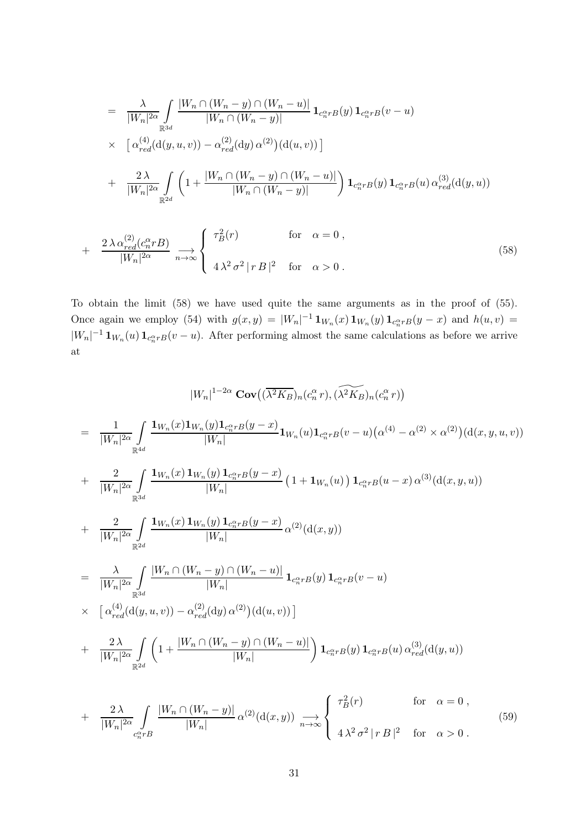$$
= \frac{\lambda}{|W_n|^{2\alpha}} \int_{\mathbb{R}^{3d}} \frac{|W_n \cap (W_n - y) \cap (W_n - u)|}{|W_n \cap (W_n - y)|} \mathbf{1}_{c_n^{\alpha}r}g(y) \mathbf{1}_{c_n^{\alpha}r}g(v - u)
$$
  
 
$$
\times \left[ \alpha_{red}^{(4)}(\mathbf{d}(y, u, v)) - \alpha_{red}^{(2)}(\mathbf{d}y) \alpha^{(2)} \right) (\mathbf{d}(u, v)) \right]
$$
  
+ 
$$
\frac{2\lambda}{|W_n|^{2\alpha}} \int_{\mathbb{R}^{2d}} \left( 1 + \frac{|W_n \cap (W_n - y) \cap (W_n - u)|}{|W_n \cap (W_n - y)|} \right) \mathbf{1}_{c_n^{\alpha}r}g(y) \mathbf{1}_{c_n^{\alpha}r}g(u) \alpha_{red}^{(3)}(\mathbf{d}(y, u))
$$

+ 
$$
\frac{2\lambda \alpha_{red}^{(2)}(c_n^{\alpha}rB)}{|W_n|^{2\alpha}} \underset{n \to \infty}{\longrightarrow} \begin{cases} \tau_B^2(r) & \text{for } \alpha = 0, \\ 4\lambda^2 \sigma^2 |rB|^2 & \text{for } \alpha > 0. \end{cases}
$$
 (58)

To obtain the limit (58) we have used quite the same arguments as in the proof of (55). Once again we employ (54) with  $g(x,y) = |W_n|^{-1} \mathbf{1}_{W_n}(x) \mathbf{1}_{W_n}(y) \mathbf{1}_{c_n^{\alpha}rB}(y-x)$  and  $h(u, v) =$  $|W_n|^{-1} \mathbf{1}_{W_n}(u) \mathbf{1}_{c_n^{\alpha}r} B(v-u)$ . After performing almost the same calculations as before we arrive at

$$
|W_n|^{1-2\alpha} \operatorname{Cov}((\overline{\lambda^2 K_B})_n(c_n^{\alpha} r), (\overline{\lambda^2 K_B})_n(c_n^{\alpha} r))
$$
\n
$$
= \frac{1}{|W_n|^{2\alpha}} \int_{\mathbb{R}^{4d}} \frac{\mathbf{1}_{W_n}(x) \mathbf{1}_{W_n}(y) \mathbf{1}_{c_n^{\alpha} rB}(y-x)}{|W_n|} \mathbf{1}_{W_n}(u) \mathbf{1}_{c_n^{\alpha} rB}(v-u) (\alpha^{(4)} - \alpha^{(2)} \times \alpha^{(2)}) (d(x, y, u, v))
$$
\n
$$
+ \frac{2}{|W_n|^{2\alpha}} \int_{\mathbb{R}^{3d}} \frac{\mathbf{1}_{W_n}(x) \mathbf{1}_{W_n}(y) \mathbf{1}_{c_n^{\alpha} rB}(y-x)}{|W_n|} (1 + \mathbf{1}_{W_n}(u)) \mathbf{1}_{c_n^{\alpha} rB}(u-x) \alpha^{(3)} (d(x, y, u))
$$
\n
$$
+ \frac{2}{|W_n|^{2\alpha}} \int_{\mathbb{R}^{2d}} \frac{\mathbf{1}_{W_n}(x) \mathbf{1}_{W_n}(y) \mathbf{1}_{c_n^{\alpha} rB}(y-x)}{|W_n|} \alpha^{(2)} (d(x, y))
$$
\n
$$
= \frac{\lambda}{|W_n|^{2\alpha}} \int_{\mathbb{R}^{3d}} \frac{|W_n \cap (W_n - y) \cap (W_n - u)|}{|W_n|} \mathbf{1}_{c_n^{\alpha} rB}(y) \mathbf{1}_{c_n^{\alpha} rB}(v-u)
$$
\n
$$
\times \left[ \alpha_{red}^{(4)}(d(y, u, v)) - \alpha_{red}^{(2)}(dy) \alpha^{(2)} \right) (d(u, v)) \right]
$$
\n
$$
+ \frac{2\lambda}{|W_n|^{2\alpha}} \int_{\mathbb{R}^{2d}} \left(1 + \frac{|W_n \cap (W_n - y) \cap (W_n - u)|}{|W_n|}\right) \mathbf{1}_{c_n^{\alpha} rB}(y) \mathbf{1}_{c_n^{\alpha} rB}(u) \alpha_{red}^{(3)}(d(y, u))
$$
\n
$$
+ \frac{2\lambda}{|W_n|^{2\alpha}} \int_{c_n^{\alpha} rB} \frac{|W_n
$$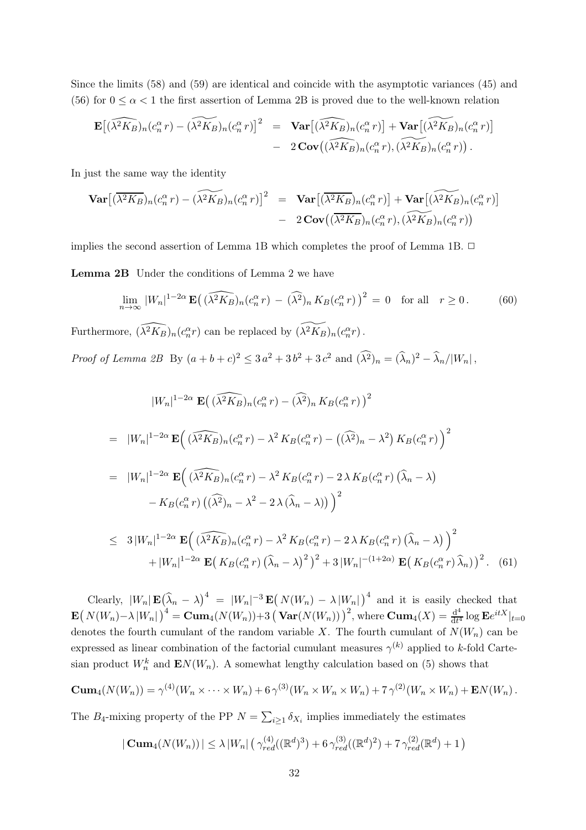Since the limits (58) and (59) are identical and coincide with the asymptotic variances (45) and (56) for  $0 \leq \alpha < 1$  the first assertion of Lemma 2B is proved due to the well-known relation

$$
\mathbf{E}\left[ (\widehat{\lambda^2 K_B})_n (c_n^{\alpha} r) - (\widehat{\lambda^2 K_B})_n (c_n^{\alpha} r) \right]^2 = \mathbf{Var}\left[ (\widehat{\lambda^2 K_B})_n (c_n^{\alpha} r) \right] + \mathbf{Var}\left[ (\widehat{\lambda^2 K_B})_n (c_n^{\alpha} r) \right] - 2 \mathbf{Cov}\left( (\widehat{\lambda^2 K_B})_n (c_n^{\alpha} r), (\widehat{\lambda^2 K_B})_n (c_n^{\alpha} r) \right).
$$

In just the same way the identity

$$
\begin{array}{rcl}\n\textbf{Var}\big[\big(\overline{\lambda^2K_B}\big)_n(c_n^{\alpha}r)-\big(\overline{\lambda^2K_B}\big)_n(c_n^{\alpha}r)\big]^2 &=& \textbf{Var}\big[\big(\overline{\lambda^2K_B}\big)_n(c_n^{\alpha}r)\big] + \textbf{Var}\big[\big(\overline{\lambda^2K_B}\big)_n(c_n^{\alpha}r)\big] \\
&-& 2\,\textbf{Cov}\big(\big(\overline{\lambda^2K_B}\big)_n(c_n^{\alpha}r),\big(\overline{\lambda^2K_B}\big)_n(c_n^{\alpha}r)\big)\n\end{array}
$$

implies the second assertion of Lemma 1B which completes the proof of Lemma 1B.  $\Box$ 

Lemma 2B Under the conditions of Lemma 2 we have

$$
\lim_{n \to \infty} |W_n|^{1-2\alpha} \mathbf{E} \left( (\widehat{\lambda^2 K_B})_n (c_n^{\alpha} r) - (\widehat{\lambda^2})_n K_B(c_n^{\alpha} r) \right)^2 = 0 \quad \text{for all} \quad r \ge 0. \tag{60}
$$

Furthermore,  $\widehat{(\lambda^2 K_B)}_n(c_n^{\alpha} r)$  can be replaced by  $\widehat{(\lambda^2 K_B)}_n(c_n^{\alpha} r)$ .

Proof of Lemma 2B By  $(a+b+c)^2 \leq 3a^2+3b^2+3c^2$  and  $(\lambda^2)_n = (\lambda_n)^2 - \lambda_n/|W_n|$ ,

$$
|W_n|^{1-2\alpha} \mathbf{E}((\widehat{\lambda^2 K_B})_n(c_n^{\alpha} r) - (\widehat{\lambda^2})_n K_B(c_n^{\alpha} r))^{2}
$$
  
\n
$$
= |W_n|^{1-2\alpha} \mathbf{E}((\widehat{\lambda^2 K_B})_n(c_n^{\alpha} r) - \lambda^2 K_B(c_n^{\alpha} r) - ((\widehat{\lambda^2})_n - \lambda^2) K_B(c_n^{\alpha} r))^{2}
$$
  
\n
$$
= |W_n|^{1-2\alpha} \mathbf{E}((\widehat{\lambda^2 K_B})_n(c_n^{\alpha} r) - \lambda^2 K_B(c_n^{\alpha} r) - 2\lambda K_B(c_n^{\alpha} r) (\widehat{\lambda}_n - \lambda)
$$
  
\n
$$
-K_B(c_n^{\alpha} r) ((\widehat{\lambda^2})_n - \lambda^2 - 2\lambda (\widehat{\lambda}_n - \lambda)))^{2}
$$
  
\n
$$
\leq 3 |W_n|^{1-2\alpha} \mathbf{E}((\widehat{\lambda^2 K_B})_n(c_n^{\alpha} r) - \lambda^2 K_B(c_n^{\alpha} r) - 2\lambda K_B(c_n^{\alpha} r) (\widehat{\lambda}_n - \lambda))^{2}
$$
  
\n
$$
+ |W_n|^{1-2\alpha} \mathbf{E}(K_B(c_n^{\alpha} r) (\widehat{\lambda}_n - \lambda)^2)^2 + 3 |W_n|^{-(1+2\alpha)} \mathbf{E}(K_B(c_n^{\alpha} r) \widehat{\lambda}_n))^{2}.
$$
 (61)

Clearly,  $|W_n| \mathbf{E}(\hat{\lambda}_n - \lambda)^4 = |W_n|^{-3} \mathbf{E}(|N(W_n) - \lambda|W_n|)^4$  and it is easily checked that  $\textbf{E}\big(\,N(W_n)-\lambda\,|W_n|\,\big)^4 = \mathbf{Cum}_4(N(W_n)) + 3\,\big(\,\mathbf{Var}(N(W_n))\,\big)^2,$  where  $\mathbf{Cum}_4(X) = \frac{\mathrm{d}^4}{\mathrm{d}t^4}$  $\frac{\mathrm{d}^4}{\mathrm{d}t^4}\log \mathbf{E}e^{itX}|_{t=0}$ denotes the fourth cumulant of the random variable X. The fourth cumulant of  $N(W_n)$  can be expressed as linear combination of the factorial cumulant measures  $\gamma^{(k)}$  applied to k-fold Cartesian product  $W_n^k$  and  $\mathbf{E}N(W_n)$ . A somewhat lengthy calculation based on (5) shows that

$$
Cum_4(N(W_n)) = \gamma^{(4)}(W_n \times \cdots \times W_n) + 6 \gamma^{(3)}(W_n \times W_n \times W_n) + 7 \gamma^{(2)}(W_n \times W_n) + EN(W_n).
$$

The  $B_4$ -mixing property of the PP  $N = \sum_{i \geq 1} \delta_{X_i}$  implies immediately the estimates

$$
|\operatorname{Cum}_4(N(W_n))| \le \lambda |W_n| \left( \gamma_{red}^{(4)}((\mathbb{R}^d)^3) + 6 \gamma_{red}^{(3)}((\mathbb{R}^d)^2) + 7 \gamma_{red}^{(2)}(\mathbb{R}^d) + 1 \right)
$$